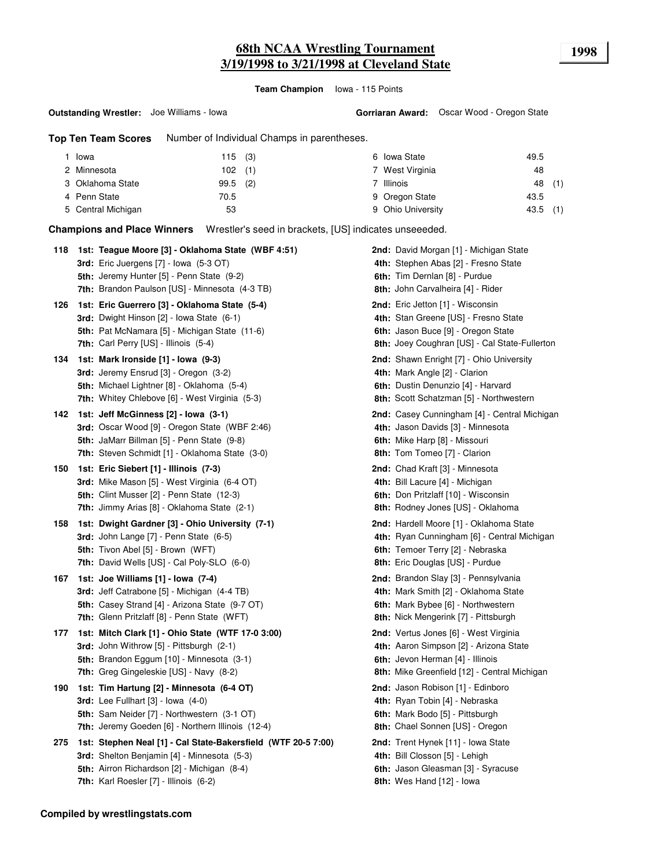# **68th NCAA Wrestling Tournament 1998 3/19/1998 to 3/21/1998 at Cleveland State**

**Team Champion** Iowa - 115 Points

**Top Ten Team Scores** Number of Individual Champs in parentheses.

| Iowa               | 115(3)      | 6 Iowa State          | 49.5        |
|--------------------|-------------|-----------------------|-------------|
| 2 Minnesota        | $102$ (1)   | 7 West Virginia       | 48          |
| 3 Oklahoma State   | (2)<br>99.5 | <sup>7</sup> Illinois | (1)<br>48   |
| 4 Penn State       | 70.5        | 9 Oregon State        | 43.5        |
| 5 Central Michigan | 53          | 9 Ohio University     | (1)<br>43.5 |

**Champions and Place Winners** Wrestler's seed in brackets, [US] indicates unseeeded.

| 118 | 1st: Teague Moore [3] - Oklahoma State (WBF 4:51)<br><b>3rd:</b> Eric Juergens $[7]$ - lowa $(5-3$ OT)<br>5th: Jeremy Hunter [5] - Penn State (9-2)                                                                                                  | <b>2nd:</b> David Morgan [1] - Michigan State<br>4th: Stephen Abas [2] - Fresno State<br>6th: Tim Dernlan [8] - Purdue                                                                               |
|-----|------------------------------------------------------------------------------------------------------------------------------------------------------------------------------------------------------------------------------------------------------|------------------------------------------------------------------------------------------------------------------------------------------------------------------------------------------------------|
| 126 | 7th: Brandon Paulson [US] - Minnesota (4-3 TB)<br>1st: Eric Guerrero [3] - Oklahoma State (5-4)<br><b>3rd:</b> Dwight Hinson [2] - Iowa State (6-1)<br><b>5th:</b> Pat McNamara [5] - Michigan State (11-6)<br>7th: Carl Perry [US] - Illinois (5-4) | 8th: John Carvalheira [4] - Rider<br>2nd: Eric Jetton [1] - Wisconsin<br>4th: Stan Greene [US] - Fresno State<br>6th: Jason Buce [9] - Oregon State<br>8th: Joey Coughran [US] - Cal State-Fullerton |
| 134 | 1st: Mark Ironside [1] - Iowa (9-3)<br>3rd: Jeremy Ensrud [3] - Oregon (3-2)<br>5th: Michael Lightner [8] - Oklahoma (5-4)<br><b>7th:</b> Whitey Chlebove [6] - West Virginia (5-3)                                                                  | 2nd: Shawn Enright [7] - Ohio University<br>4th: Mark Angle [2] - Clarion<br>6th: Dustin Denunzio [4] - Harvard<br>8th: Scott Schatzman [5] - Northwestern                                           |
| 142 | 1st: Jeff McGinness [2] - Iowa (3-1)<br>3rd: Oscar Wood [9] - Oregon State (WBF 2:46)<br>5th: JaMarr Billman [5] - Penn State (9-8)<br>7th: Steven Schmidt [1] - Oklahoma State (3-0)                                                                | 2nd: Casey Cunningham [4] - Central Michigan<br>4th: Jason Davids [3] - Minnesota<br>6th: Mike Harp [8] - Missouri<br>8th: Tom Tomeo [7] - Clarion                                                   |
| 150 | 1st: Eric Siebert [1] - Illinois (7-3)<br>3rd: Mike Mason [5] - West Virginia (6-4 OT)<br>5th: Clint Musser [2] - Penn State (12-3)<br>7th: Jimmy Arias [8] - Oklahoma State (2-1)                                                                   | 2nd: Chad Kraft [3] - Minnesota<br>4th: Bill Lacure [4] - Michigan<br>6th: Don Pritzlaff [10] - Wisconsin<br>8th: Rodney Jones [US] - Oklahoma                                                       |
| 158 | 1st: Dwight Gardner [3] - Ohio University (7-1)<br><b>3rd:</b> John Lange [7] - Penn State (6-5)<br>5th: Tivon Abel [5] - Brown (WFT)<br>7th: David Wells [US] - Cal Poly-SLO (6-0)                                                                  | <b>2nd:</b> Hardell Moore [1] - Oklahoma State<br>4th: Ryan Cunningham [6] - Central Michigan<br>6th: Temoer Terry [2] - Nebraska<br>8th: Eric Douglas [US] - Purdue                                 |
| 167 | 1st: Joe Williams [1] - Iowa (7-4)<br><b>3rd:</b> Jeff Catrabone [5] - Michigan (4-4 TB)<br>5th: Casey Strand [4] - Arizona State (9-7 OT)<br>7th: Glenn Pritzlaff [8] - Penn State (WFT)                                                            | 2nd: Brandon Slay [3] - Pennsylvania<br>4th: Mark Smith [2] - Oklahoma State<br>6th: Mark Bybee [6] - Northwestern<br>8th: Nick Mengerink [7] - Pittsburgh                                           |
| 177 | 1st: Mitch Clark [1] - Ohio State (WTF 17-0 3:00)<br>3rd: John Withrow [5] - Pittsburgh (2-1)<br>5th: Brandon Eggum [10] - Minnesota (3-1)<br>7th: Greg Gingeleskie [US] - Navy (8-2)                                                                | 2nd: Vertus Jones [6] - West Virginia<br>4th: Aaron Simpson [2] - Arizona State<br>6th: Jevon Herman [4] - Illinois<br>8th: Mike Greenfield [12] - Central Michigan                                  |
| 190 | 1st: Tim Hartung [2] - Minnesota (6-4 OT)<br><b>3rd:</b> Lee Fullhart $[3]$ - lowa $(4-0)$<br>5th: Sam Neider [7] - Northwestern (3-1 OT)<br>7th: Jeremy Goeden [6] - Northern Illinois (12-4)                                                       | 2nd: Jason Robison [1] - Edinboro<br>4th: Ryan Tobin [4] - Nebraska<br>6th: Mark Bodo [5] - Pittsburgh<br>8th: Chael Sonnen [US] - Oregon                                                            |
| 275 | 1st: Stephen Neal [1] - Cal State-Bakersfield (WTF 20-5 7:00)<br>3rd: Shelton Benjamin [4] - Minnesota (5-3)<br>5th: Airron Richardson [2] - Michigan (8-4)<br>7th: Karl Roesler [7] - Illinois (6-2)                                                | 2nd: Trent Hynek [11] - Iowa State<br>4th: Bill Closson [5] - Lehigh<br>6th: Jason Gleasman [3] - Syracuse<br><b>8th:</b> Wes Hand [12] - lowa                                                       |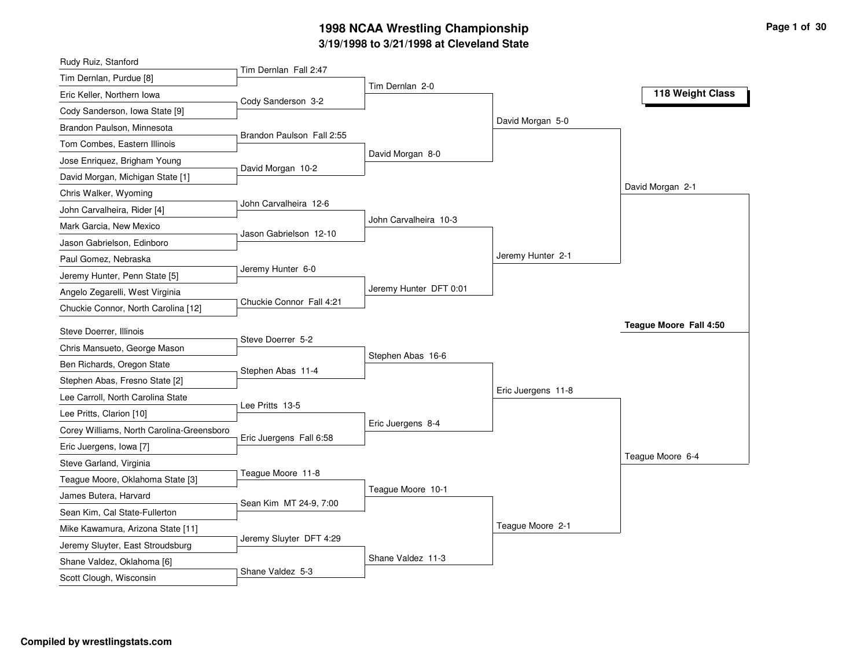## **3/19/1998 to 3/21/1998 at Cleveland State 1998 NCAA Wrestling Championship Page <sup>1</sup> of <sup>30</sup>**

| Rudy Ruiz, Stanford                       |                           |                        |                    |                        |
|-------------------------------------------|---------------------------|------------------------|--------------------|------------------------|
| Tim Dernlan, Purdue [8]                   | Tim Dernlan Fall 2:47     | Tim Dernlan 2-0        |                    |                        |
| Eric Keller, Northern Iowa                | Cody Sanderson 3-2        |                        |                    | 118 Weight Class       |
| Cody Sanderson, Iowa State [9]            |                           |                        |                    |                        |
| Brandon Paulson, Minnesota                |                           |                        | David Morgan 5-0   |                        |
| Tom Combes, Eastern Illinois              | Brandon Paulson Fall 2:55 |                        |                    |                        |
| Jose Enriquez, Brigham Young              |                           | David Morgan 8-0       |                    |                        |
| David Morgan, Michigan State [1]          | David Morgan 10-2         |                        |                    |                        |
| Chris Walker, Wyoming                     |                           |                        |                    | David Morgan 2-1       |
| John Carvalheira, Rider [4]               | John Carvalheira 12-6     |                        |                    |                        |
| Mark Garcia, New Mexico                   |                           | John Carvalheira 10-3  |                    |                        |
| Jason Gabrielson, Edinboro                | Jason Gabrielson 12-10    |                        |                    |                        |
| Paul Gomez, Nebraska                      |                           |                        | Jeremy Hunter 2-1  |                        |
| Jeremy Hunter, Penn State [5]             | Jeremy Hunter 6-0         |                        |                    |                        |
| Angelo Zegarelli, West Virginia           |                           | Jeremy Hunter DFT 0:01 |                    |                        |
| Chuckie Connor, North Carolina [12]       | Chuckie Connor Fall 4:21  |                        |                    |                        |
| Steve Doerrer, Illinois                   |                           |                        |                    | Teague Moore Fall 4:50 |
| Chris Mansueto, George Mason              | Steve Doerrer 5-2         |                        |                    |                        |
| Ben Richards, Oregon State                |                           | Stephen Abas 16-6      |                    |                        |
| Stephen Abas, Fresno State [2]            | Stephen Abas 11-4         |                        |                    |                        |
| Lee Carroll, North Carolina State         |                           |                        | Eric Juergens 11-8 |                        |
| Lee Pritts, Clarion [10]                  | Lee Pritts 13-5           |                        |                    |                        |
| Corey Williams, North Carolina-Greensboro |                           | Eric Juergens 8-4      |                    |                        |
| Eric Juergens, Iowa [7]                   | Eric Juergens Fall 6:58   |                        |                    |                        |
| Steve Garland, Virginia                   |                           |                        |                    | Teague Moore 6-4       |
| Teague Moore, Oklahoma State [3]          | Teague Moore 11-8         |                        |                    |                        |
| James Butera, Harvard                     |                           | Teague Moore 10-1      |                    |                        |
| Sean Kim, Cal State-Fullerton             | Sean Kim MT 24-9, 7:00    |                        |                    |                        |
| Mike Kawamura, Arizona State [11]         |                           |                        | Teague Moore 2-1   |                        |
| Jeremy Sluyter, East Stroudsburg          | Jeremy Sluyter DFT 4:29   |                        |                    |                        |
|                                           |                           |                        |                    |                        |
| Shane Valdez, Oklahoma [6]                |                           | Shane Valdez 11-3      |                    |                        |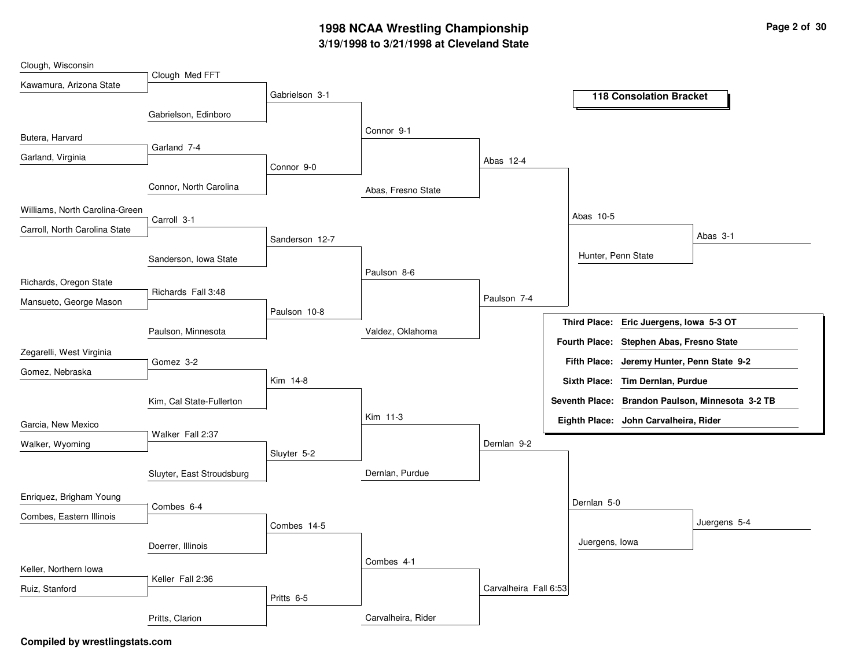## **3/19/1998 to 3/21/1998 at Cleveland State 1998 NCAA Wrestling Championship Page <sup>2</sup> of <sup>30</sup>**

| Clough, Wisconsin              |                           |                |                    |                       |                                                  |
|--------------------------------|---------------------------|----------------|--------------------|-----------------------|--------------------------------------------------|
| Kawamura, Arizona State        | Clough Med FFT            |                |                    |                       |                                                  |
|                                |                           | Gabrielson 3-1 |                    |                       | <b>118 Consolation Bracket</b>                   |
|                                | Gabrielson, Edinboro      |                |                    |                       |                                                  |
| Butera, Harvard                |                           |                | Connor 9-1         |                       |                                                  |
| Garland, Virginia              | Garland 7-4               |                |                    |                       |                                                  |
|                                |                           | Connor 9-0     |                    | Abas 12-4             |                                                  |
|                                | Connor, North Carolina    |                | Abas, Fresno State |                       |                                                  |
| Williams, North Carolina-Green | Carroll 3-1               |                |                    |                       | Abas 10-5                                        |
| Carroll, North Carolina State  |                           |                |                    |                       | Abas 3-1                                         |
|                                |                           | Sanderson 12-7 |                    |                       |                                                  |
|                                | Sanderson, Iowa State     |                |                    |                       | Hunter, Penn State                               |
| Richards, Oregon State         |                           |                | Paulson 8-6        |                       |                                                  |
| Mansueto, George Mason         | Richards Fall 3:48        |                |                    | Paulson 7-4           |                                                  |
|                                |                           | Paulson 10-8   |                    |                       | Third Place: Eric Juergens, Iowa 5-3 OT          |
|                                | Paulson, Minnesota        |                | Valdez, Oklahoma   |                       |                                                  |
| Zegarelli, West Virginia       |                           |                |                    |                       | Fourth Place: Stephen Abas, Fresno State         |
| Gomez, Nebraska                | Gomez 3-2                 |                |                    |                       | Fifth Place: Jeremy Hunter, Penn State 9-2       |
|                                |                           | Kim 14-8       |                    |                       | Sixth Place: Tim Dernlan, Purdue                 |
|                                | Kim, Cal State-Fullerton  |                |                    |                       | Seventh Place: Brandon Paulson, Minnesota 3-2 TB |
| Garcia, New Mexico             |                           |                | Kim 11-3           |                       | Eighth Place: John Carvalheira, Rider            |
| Walker, Wyoming                | Walker Fall 2:37          |                |                    | Dernlan 9-2           |                                                  |
|                                |                           | Sluyter 5-2    |                    |                       |                                                  |
|                                | Sluyter, East Stroudsburg |                | Dernlan, Purdue    |                       |                                                  |
| Enriquez, Brigham Young        |                           |                |                    |                       |                                                  |
| Combes, Eastern Illinois       | Combes 6-4                |                |                    |                       | Dernlan 5-0                                      |
|                                |                           | Combes 14-5    |                    |                       | Juergens 5-4                                     |
|                                | Doerrer, Illinois         |                |                    |                       | Juergens, lowa                                   |
| Keller, Northern Iowa          |                           |                | Combes 4-1         |                       |                                                  |
|                                | Keller Fall 2:36          |                |                    |                       |                                                  |
| Ruiz, Stanford                 |                           | Pritts 6-5     |                    | Carvalheira Fall 6:53 |                                                  |
|                                | Pritts, Clarion           |                | Carvalheira, Rider |                       |                                                  |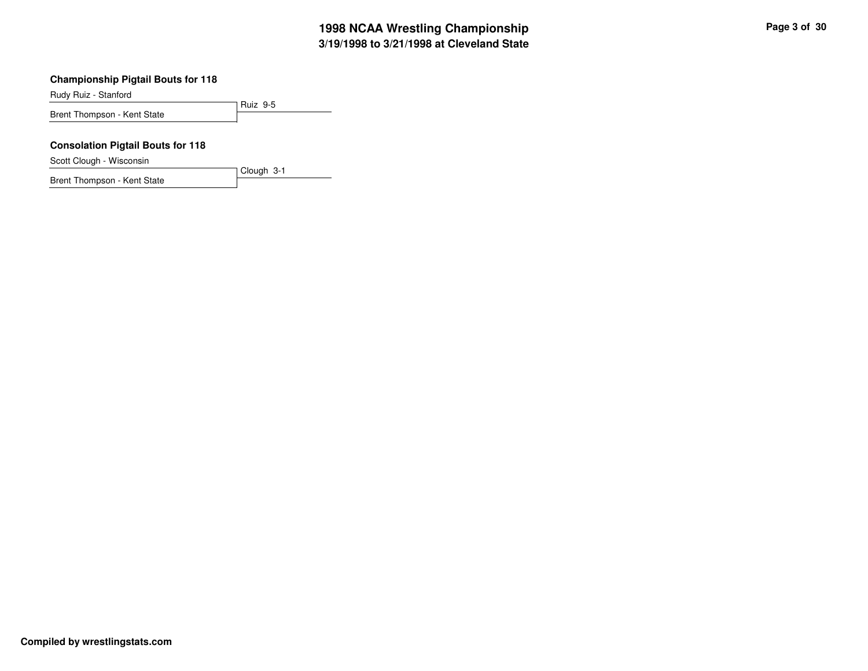Rudy Ruiz - Stanford

Ruiz 9-5 Brent Thompson - Kent State

Clough 3-1

#### **Consolation Pigtail Bouts for 118**

Scott Clough - Wisconsin

Brent Thompson - Kent State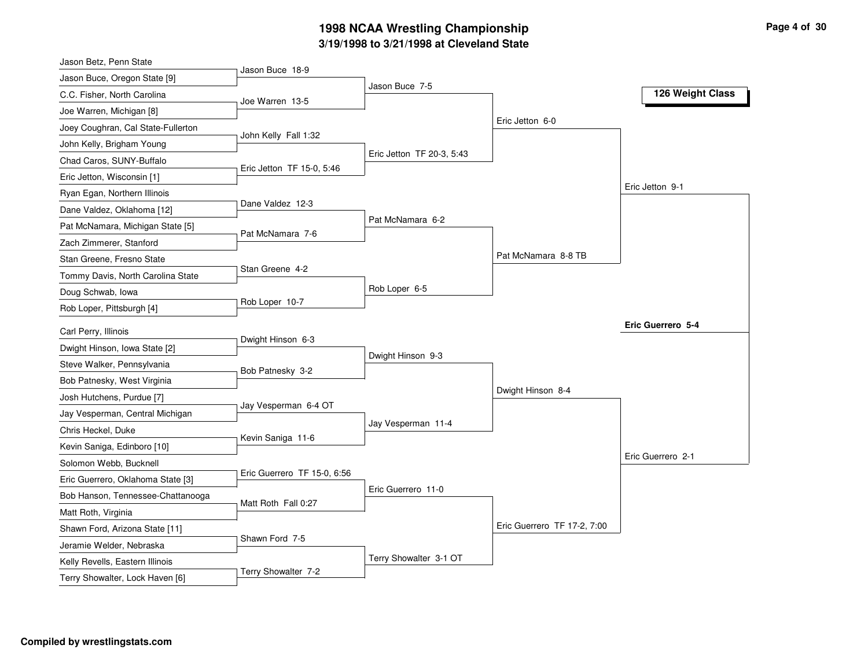### **3/19/1998 to 3/21/1998 at Cleveland State 1998 NCAA Wrestling Championship Page <sup>4</sup> of <sup>30</sup>**

| Jason Buce 18-9<br>Jason Buce 7-5<br>126 Weight Class<br>Joe Warren 13-5<br>Eric Jetton 6-0<br>John Kelly Fall 1:32<br>Eric Jetton TF 20-3, 5:43<br>Eric Jetton TF 15-0, 5:46<br>Eric Jetton 9-1<br>Dane Valdez 12-3<br>Pat McNamara 6-2<br>Pat McNamara 7-6<br>Pat McNamara 8-8 TB<br>Stan Greene 4-2<br>Rob Loper 6-5<br>Rob Loper 10-7<br>Eric Guerrero 5-4<br>Carl Perry, Illinois<br>Dwight Hinson 6-3<br>Dwight Hinson, Iowa State [2]<br>Dwight Hinson 9-3<br>Steve Walker, Pennsylvania<br>Bob Patnesky 3-2<br>Bob Patnesky, West Virginia<br>Dwight Hinson 8-4<br>Josh Hutchens, Purdue [7]<br>Jay Vesperman 6-4 OT<br>Jay Vesperman, Central Michigan<br>Jay Vesperman 11-4<br>Chris Heckel, Duke<br>Kevin Saniga 11-6<br>Kevin Saniga, Edinboro [10]<br>Eric Guerrero 2-1<br>Solomon Webb, Bucknell<br>Eric Guerrero TF 15-0, 6:56<br>Eric Guerrero, Oklahoma State [3]<br>Eric Guerrero 11-0<br>Bob Hanson, Tennessee-Chattanooga<br>Matt Roth Fall 0:27<br>Matt Roth, Virginia<br>Eric Guerrero TF 17-2, 7:00<br>Shawn Ford, Arizona State [11]<br>Shawn Ford 7-5<br>Jeramie Welder, Nebraska | Jason Betz, Penn State             |  |  |
|------------------------------------------------------------------------------------------------------------------------------------------------------------------------------------------------------------------------------------------------------------------------------------------------------------------------------------------------------------------------------------------------------------------------------------------------------------------------------------------------------------------------------------------------------------------------------------------------------------------------------------------------------------------------------------------------------------------------------------------------------------------------------------------------------------------------------------------------------------------------------------------------------------------------------------------------------------------------------------------------------------------------------------------------------------------------------------------------------------|------------------------------------|--|--|
|                                                                                                                                                                                                                                                                                                                                                                                                                                                                                                                                                                                                                                                                                                                                                                                                                                                                                                                                                                                                                                                                                                            | Jason Buce, Oregon State [9]       |  |  |
|                                                                                                                                                                                                                                                                                                                                                                                                                                                                                                                                                                                                                                                                                                                                                                                                                                                                                                                                                                                                                                                                                                            | C.C. Fisher, North Carolina        |  |  |
|                                                                                                                                                                                                                                                                                                                                                                                                                                                                                                                                                                                                                                                                                                                                                                                                                                                                                                                                                                                                                                                                                                            | Joe Warren, Michigan [8]           |  |  |
|                                                                                                                                                                                                                                                                                                                                                                                                                                                                                                                                                                                                                                                                                                                                                                                                                                                                                                                                                                                                                                                                                                            | Joey Coughran, Cal State-Fullerton |  |  |
|                                                                                                                                                                                                                                                                                                                                                                                                                                                                                                                                                                                                                                                                                                                                                                                                                                                                                                                                                                                                                                                                                                            | John Kelly, Brigham Young          |  |  |
|                                                                                                                                                                                                                                                                                                                                                                                                                                                                                                                                                                                                                                                                                                                                                                                                                                                                                                                                                                                                                                                                                                            | Chad Caros, SUNY-Buffalo           |  |  |
|                                                                                                                                                                                                                                                                                                                                                                                                                                                                                                                                                                                                                                                                                                                                                                                                                                                                                                                                                                                                                                                                                                            | Eric Jetton, Wisconsin [1]         |  |  |
|                                                                                                                                                                                                                                                                                                                                                                                                                                                                                                                                                                                                                                                                                                                                                                                                                                                                                                                                                                                                                                                                                                            | Ryan Egan, Northern Illinois       |  |  |
|                                                                                                                                                                                                                                                                                                                                                                                                                                                                                                                                                                                                                                                                                                                                                                                                                                                                                                                                                                                                                                                                                                            | Dane Valdez, Oklahoma [12]         |  |  |
|                                                                                                                                                                                                                                                                                                                                                                                                                                                                                                                                                                                                                                                                                                                                                                                                                                                                                                                                                                                                                                                                                                            | Pat McNamara, Michigan State [5]   |  |  |
|                                                                                                                                                                                                                                                                                                                                                                                                                                                                                                                                                                                                                                                                                                                                                                                                                                                                                                                                                                                                                                                                                                            | Zach Zimmerer, Stanford            |  |  |
|                                                                                                                                                                                                                                                                                                                                                                                                                                                                                                                                                                                                                                                                                                                                                                                                                                                                                                                                                                                                                                                                                                            | Stan Greene, Fresno State          |  |  |
|                                                                                                                                                                                                                                                                                                                                                                                                                                                                                                                                                                                                                                                                                                                                                                                                                                                                                                                                                                                                                                                                                                            | Tommy Davis, North Carolina State  |  |  |
|                                                                                                                                                                                                                                                                                                                                                                                                                                                                                                                                                                                                                                                                                                                                                                                                                                                                                                                                                                                                                                                                                                            | Doug Schwab, Iowa                  |  |  |
|                                                                                                                                                                                                                                                                                                                                                                                                                                                                                                                                                                                                                                                                                                                                                                                                                                                                                                                                                                                                                                                                                                            | Rob Loper, Pittsburgh [4]          |  |  |
|                                                                                                                                                                                                                                                                                                                                                                                                                                                                                                                                                                                                                                                                                                                                                                                                                                                                                                                                                                                                                                                                                                            |                                    |  |  |
|                                                                                                                                                                                                                                                                                                                                                                                                                                                                                                                                                                                                                                                                                                                                                                                                                                                                                                                                                                                                                                                                                                            |                                    |  |  |
|                                                                                                                                                                                                                                                                                                                                                                                                                                                                                                                                                                                                                                                                                                                                                                                                                                                                                                                                                                                                                                                                                                            |                                    |  |  |
|                                                                                                                                                                                                                                                                                                                                                                                                                                                                                                                                                                                                                                                                                                                                                                                                                                                                                                                                                                                                                                                                                                            |                                    |  |  |
|                                                                                                                                                                                                                                                                                                                                                                                                                                                                                                                                                                                                                                                                                                                                                                                                                                                                                                                                                                                                                                                                                                            |                                    |  |  |
|                                                                                                                                                                                                                                                                                                                                                                                                                                                                                                                                                                                                                                                                                                                                                                                                                                                                                                                                                                                                                                                                                                            |                                    |  |  |
|                                                                                                                                                                                                                                                                                                                                                                                                                                                                                                                                                                                                                                                                                                                                                                                                                                                                                                                                                                                                                                                                                                            |                                    |  |  |
|                                                                                                                                                                                                                                                                                                                                                                                                                                                                                                                                                                                                                                                                                                                                                                                                                                                                                                                                                                                                                                                                                                            |                                    |  |  |
|                                                                                                                                                                                                                                                                                                                                                                                                                                                                                                                                                                                                                                                                                                                                                                                                                                                                                                                                                                                                                                                                                                            |                                    |  |  |
|                                                                                                                                                                                                                                                                                                                                                                                                                                                                                                                                                                                                                                                                                                                                                                                                                                                                                                                                                                                                                                                                                                            |                                    |  |  |
|                                                                                                                                                                                                                                                                                                                                                                                                                                                                                                                                                                                                                                                                                                                                                                                                                                                                                                                                                                                                                                                                                                            |                                    |  |  |
|                                                                                                                                                                                                                                                                                                                                                                                                                                                                                                                                                                                                                                                                                                                                                                                                                                                                                                                                                                                                                                                                                                            |                                    |  |  |
|                                                                                                                                                                                                                                                                                                                                                                                                                                                                                                                                                                                                                                                                                                                                                                                                                                                                                                                                                                                                                                                                                                            |                                    |  |  |
|                                                                                                                                                                                                                                                                                                                                                                                                                                                                                                                                                                                                                                                                                                                                                                                                                                                                                                                                                                                                                                                                                                            |                                    |  |  |
| Terry Showalter 3-1 OT                                                                                                                                                                                                                                                                                                                                                                                                                                                                                                                                                                                                                                                                                                                                                                                                                                                                                                                                                                                                                                                                                     | Kelly Revells, Eastern Illinois    |  |  |
| Terry Showalter 7-2                                                                                                                                                                                                                                                                                                                                                                                                                                                                                                                                                                                                                                                                                                                                                                                                                                                                                                                                                                                                                                                                                        | Terry Showalter, Lock Haven [6]    |  |  |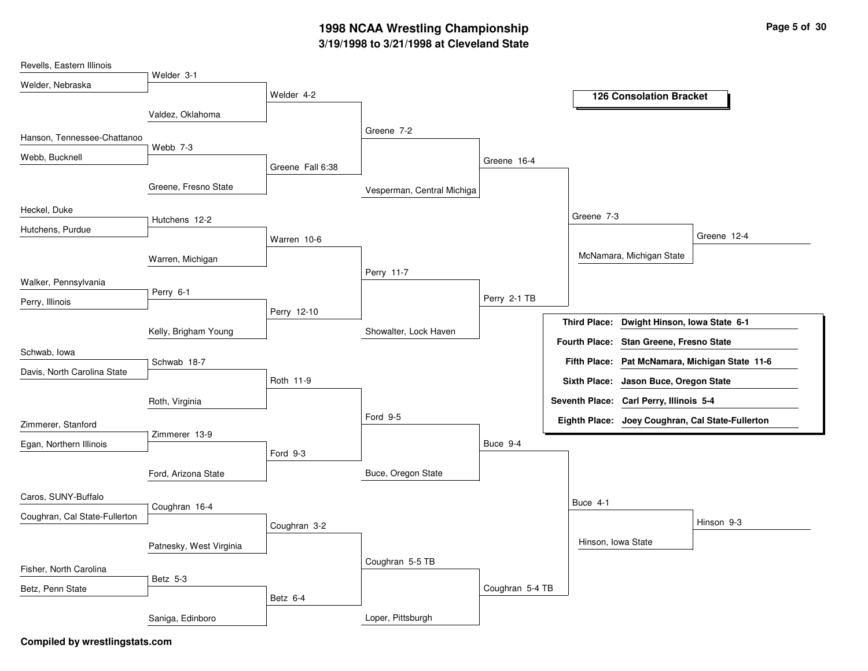## **3/19/1998 to 3/21/1998 at Cleveland State 1998 NCAA Wrestling Championship Page <sup>5</sup> of <sup>30</sup>**

| Revells, Eastern Illinois     |                         |                  |                            |                 |                      |                                                  |                                                |
|-------------------------------|-------------------------|------------------|----------------------------|-----------------|----------------------|--------------------------------------------------|------------------------------------------------|
| Welder, Nebraska              | Welder 3-1              |                  |                            |                 |                      |                                                  |                                                |
|                               |                         | Welder 4-2       |                            |                 |                      | <b>126 Consolation Bracket</b>                   |                                                |
|                               | Valdez, Oklahoma        |                  |                            |                 |                      |                                                  |                                                |
| Hanson, Tennessee-Chattanoo   |                         |                  | Greene 7-2                 |                 |                      |                                                  |                                                |
|                               | Webb 7-3                |                  |                            |                 |                      |                                                  |                                                |
| Webb, Bucknell                |                         | Greene Fall 6:38 |                            | Greene 16-4     |                      |                                                  |                                                |
|                               | Greene, Fresno State    |                  |                            |                 |                      |                                                  |                                                |
|                               |                         |                  | Vesperman, Central Michiga |                 |                      |                                                  |                                                |
| Heckel, Duke                  | Hutchens 12-2           |                  |                            |                 | Greene 7-3           |                                                  |                                                |
| Hutchens, Purdue              |                         |                  |                            |                 |                      |                                                  | Greene 12-4                                    |
|                               |                         | Warren 10-6      |                            |                 |                      |                                                  |                                                |
|                               | Warren, Michigan        |                  |                            |                 |                      | McNamara, Michigan State                         |                                                |
| Walker, Pennsylvania          |                         |                  | Perry 11-7                 |                 |                      |                                                  |                                                |
| Perry, Illinois               | Perry 6-1               |                  |                            | Perry 2-1 TB    |                      |                                                  |                                                |
|                               |                         | Perry 12-10      |                            |                 |                      |                                                  |                                                |
|                               | Kelly, Brigham Young    |                  | Showalter, Lock Haven      |                 | <b>Third Place:</b>  | Dwight Hinson, Iowa State 6-1                    |                                                |
| Schwab, Iowa                  |                         |                  |                            |                 | <b>Fourth Place:</b> | <b>Stan Greene, Fresno State</b>                 |                                                |
|                               | Schwab 18-7             |                  |                            |                 |                      |                                                  | Fifth Place: Pat McNamara, Michigan State 11-6 |
| Davis, North Carolina State   |                         | Roth 11-9        |                            |                 | <b>Sixth Place:</b>  | Jason Buce, Oregon State                         |                                                |
|                               | Roth, Virginia          |                  |                            |                 |                      | Seventh Place: Carl Perry, Illinois 5-4          |                                                |
|                               |                         |                  | Ford 9-5                   |                 |                      | Eighth Place: Joey Coughran, Cal State-Fullerton |                                                |
| Zimmerer, Stanford            | Zimmerer 13-9           |                  |                            |                 |                      |                                                  |                                                |
| Egan, Northern Illinois       |                         | Ford 9-3         |                            | Buce 9-4        |                      |                                                  |                                                |
|                               |                         |                  |                            |                 |                      |                                                  |                                                |
|                               | Ford, Arizona State     |                  | Buce, Oregon State         |                 |                      |                                                  |                                                |
| Caros, SUNY-Buffalo           |                         |                  |                            |                 | Buce 4-1             |                                                  |                                                |
| Coughran, Cal State-Fullerton | Coughran 16-4           |                  |                            |                 |                      |                                                  |                                                |
|                               |                         | Coughran 3-2     |                            |                 |                      |                                                  | Hinson 9-3                                     |
|                               | Patnesky, West Virginia |                  |                            |                 |                      | Hinson, Iowa State                               |                                                |
| Fisher, North Carolina        |                         |                  | Coughran 5-5 TB            |                 |                      |                                                  |                                                |
|                               | Betz 5-3                |                  |                            |                 |                      |                                                  |                                                |
| Betz, Penn State              |                         | Betz 6-4         |                            | Coughran 5-4 TB |                      |                                                  |                                                |
|                               | Saniga, Edinboro        |                  | Loper, Pittsburgh          |                 |                      |                                                  |                                                |
|                               |                         |                  |                            |                 |                      |                                                  |                                                |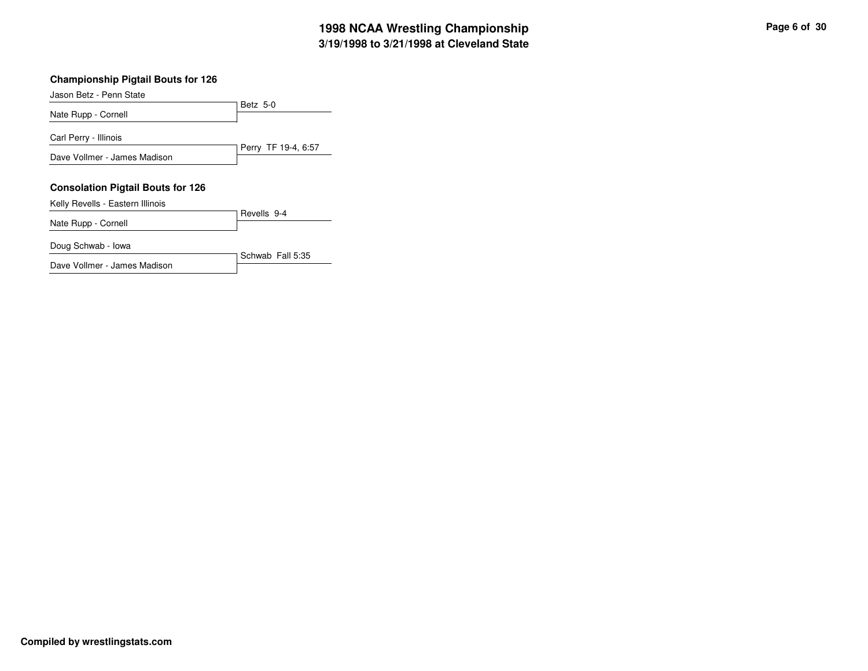| Jason Betz - Penn State                  |                     |
|------------------------------------------|---------------------|
|                                          | Betz 5-0            |
| Nate Rupp - Cornell                      |                     |
| Carl Perry - Illinois                    |                     |
|                                          | Perry TF 19-4, 6:57 |
| Dave Vollmer - James Madison             |                     |
|                                          |                     |
| <b>Consolation Pigtail Bouts for 126</b> |                     |
| Kelly Revells - Eastern Illinois         |                     |
| Nate Rupp - Cornell                      | Revells 9-4         |
|                                          |                     |
| Doug Schwab - Iowa                       |                     |
|                                          | Schwab Fall 5:35    |

Dave Vollmer - James Madison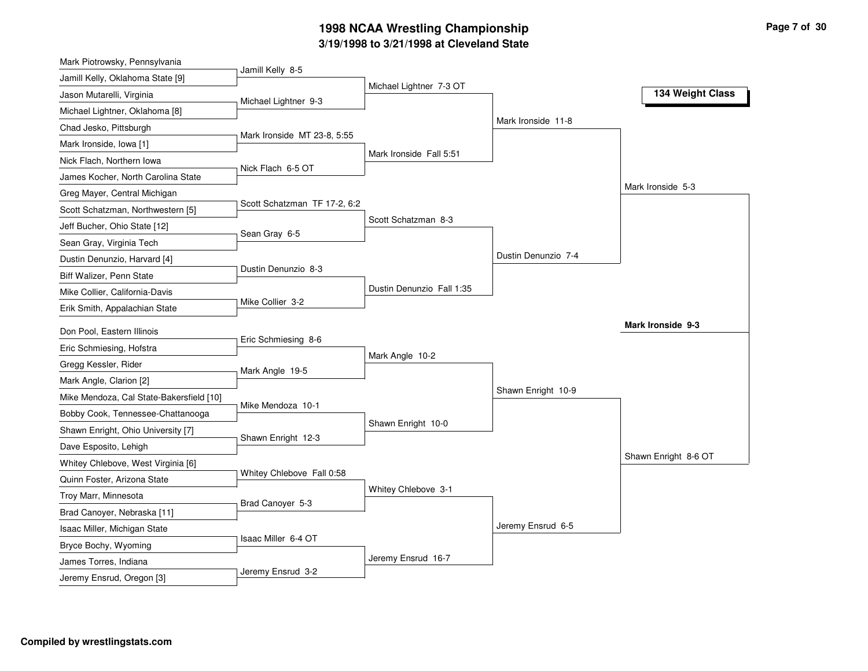## **3/19/1998 to 3/21/1998 at Cleveland State 1998 NCAA Wrestling Championship Page <sup>7</sup> of <sup>30</sup>**

| Mark Piotrowsky, Pennsylvania                                       |                              |                           |                     |                      |
|---------------------------------------------------------------------|------------------------------|---------------------------|---------------------|----------------------|
| Jamill Kelly, Oklahoma State [9]                                    | Jamill Kelly 8-5             |                           |                     |                      |
| Jason Mutarelli, Virginia                                           | Michael Lightner 9-3         | Michael Lightner 7-3 OT   |                     | 134 Weight Class     |
| Michael Lightner, Oklahoma [8]                                      |                              |                           |                     |                      |
| Chad Jesko, Pittsburgh                                              |                              |                           | Mark Ironside 11-8  |                      |
| Mark Ironside, Iowa [1]                                             | Mark Ironside MT 23-8, 5:55  |                           |                     |                      |
| Nick Flach, Northern Iowa                                           |                              | Mark Ironside Fall 5:51   |                     |                      |
| James Kocher, North Carolina State                                  | Nick Flach 6-5 OT            |                           |                     |                      |
| Greg Mayer, Central Michigan                                        |                              |                           |                     | Mark Ironside 5-3    |
| Scott Schatzman, Northwestern [5]                                   | Scott Schatzman TF 17-2, 6:2 |                           |                     |                      |
| Jeff Bucher, Ohio State [12]                                        |                              | Scott Schatzman 8-3       |                     |                      |
| Sean Gray, Virginia Tech                                            | Sean Gray 6-5                |                           |                     |                      |
| Dustin Denunzio, Harvard [4]                                        |                              |                           | Dustin Denunzio 7-4 |                      |
| Biff Walizer, Penn State                                            | Dustin Denunzio 8-3          |                           |                     |                      |
| Mike Collier, California-Davis                                      |                              | Dustin Denunzio Fall 1:35 |                     |                      |
| Erik Smith, Appalachian State                                       | Mike Collier 3-2             |                           |                     |                      |
| Don Pool, Eastern Illinois                                          |                              |                           |                     | Mark Ironside 9-3    |
| Eric Schmiesing, Hofstra                                            | Eric Schmiesing 8-6          |                           |                     |                      |
|                                                                     |                              | Mark Angle 10-2           |                     |                      |
| Gregg Kessler, Rider                                                | Mark Angle 19-5              |                           |                     |                      |
| Mark Angle, Clarion [2]<br>Mike Mendoza, Cal State-Bakersfield [10] |                              |                           | Shawn Enright 10-9  |                      |
|                                                                     | Mike Mendoza 10-1            |                           |                     |                      |
| Bobby Cook, Tennessee-Chattanooga                                   |                              | Shawn Enright 10-0        |                     |                      |
| Shawn Enright, Ohio University [7]                                  | Shawn Enright 12-3           |                           |                     |                      |
| Dave Esposito, Lehigh                                               |                              |                           |                     | Shawn Enright 8-6 OT |
| Whitey Chlebove, West Virginia [6]                                  | Whitey Chlebove Fall 0:58    |                           |                     |                      |
| Quinn Foster, Arizona State                                         |                              | Whitey Chlebove 3-1       |                     |                      |
| Troy Marr, Minnesota                                                | Brad Canoyer 5-3             |                           |                     |                      |
| Brad Canoyer, Nebraska [11]                                         |                              |                           | Jeremy Ensrud 6-5   |                      |
| Isaac Miller, Michigan State                                        | Isaac Miller 6-4 OT          |                           |                     |                      |
| Bryce Bochy, Wyoming                                                |                              | Jeremy Ensrud 16-7        |                     |                      |
| James Torres, Indiana                                               | Jeremy Ensrud 3-2            |                           |                     |                      |
| Jeremy Ensrud, Oregon [3]                                           |                              |                           |                     |                      |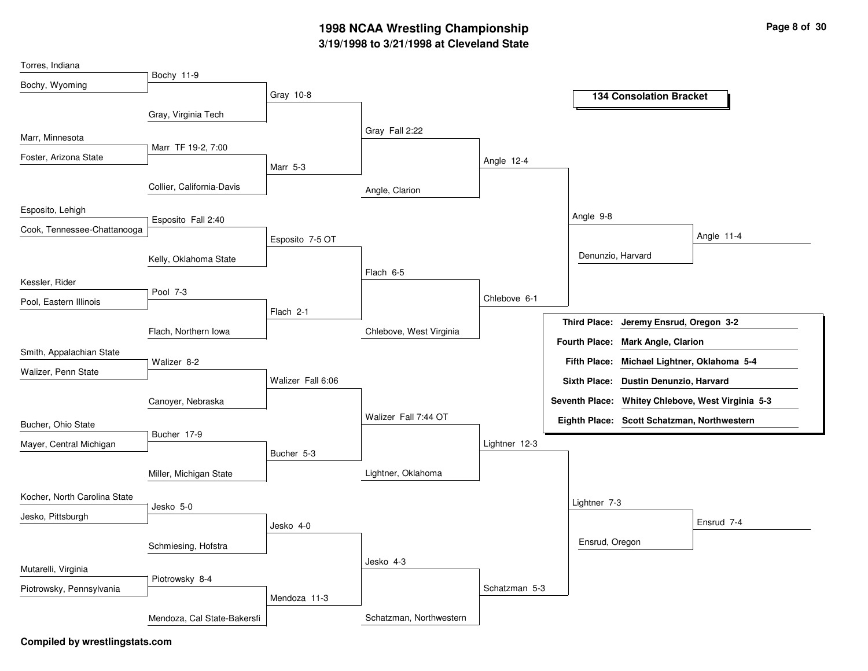## **3/19/1998 to 3/21/1998 at Cleveland State 1998 NCAA Wrestling Championship Page <sup>8</sup> of <sup>30</sup>**

| Torres, Indiana              |                             |                   |                         |               |                                                   |
|------------------------------|-----------------------------|-------------------|-------------------------|---------------|---------------------------------------------------|
| Bochy, Wyoming               | Bochy 11-9                  |                   |                         |               |                                                   |
|                              |                             | Gray 10-8         |                         |               | <b>134 Consolation Bracket</b>                    |
|                              | Gray, Virginia Tech         |                   |                         |               |                                                   |
| Marr, Minnesota              |                             |                   | Gray Fall 2:22          |               |                                                   |
| Foster, Arizona State        | Marr TF 19-2, 7:00          |                   |                         |               |                                                   |
|                              |                             | Marr 5-3          |                         | Angle 12-4    |                                                   |
|                              | Collier, California-Davis   |                   | Angle, Clarion          |               |                                                   |
| Esposito, Lehigh             |                             |                   |                         |               |                                                   |
| Cook, Tennessee-Chattanooga  | Esposito Fall 2:40          |                   |                         |               | Angle 9-8                                         |
|                              |                             | Esposito 7-5 OT   |                         |               | Angle 11-4                                        |
|                              | Kelly, Oklahoma State       |                   |                         |               | Denunzio, Harvard                                 |
| Kessler, Rider               |                             |                   | Flach 6-5               |               |                                                   |
|                              | Pool 7-3                    |                   |                         | Chlebove 6-1  |                                                   |
| Pool, Eastern Illinois       |                             | Flach 2-1         |                         |               |                                                   |
|                              | Flach, Northern Iowa        |                   | Chlebove, West Virginia |               | Third Place: Jeremy Ensrud, Oregon 3-2            |
| Smith, Appalachian State     |                             |                   |                         |               | Fourth Place: Mark Angle, Clarion                 |
|                              | Walizer 8-2                 |                   |                         |               | Fifth Place: Michael Lightner, Oklahoma 5-4       |
| Walizer, Penn State          |                             | Walizer Fall 6:06 |                         |               | Sixth Place: Dustin Denunzio, Harvard             |
|                              | Canoyer, Nebraska           |                   |                         |               | Seventh Place: Whitey Chlebove, West Virginia 5-3 |
| Bucher, Ohio State           |                             |                   | Walizer Fall 7:44 OT    |               | Eighth Place: Scott Schatzman, Northwestern       |
|                              | Bucher 17-9                 |                   |                         |               |                                                   |
| Mayer, Central Michigan      |                             | Bucher 5-3        |                         | Lightner 12-3 |                                                   |
|                              | Miller, Michigan State      |                   | Lightner, Oklahoma      |               |                                                   |
|                              |                             |                   |                         |               |                                                   |
| Kocher, North Carolina State | Jesko 5-0                   |                   |                         |               | Lightner 7-3                                      |
| Jesko, Pittsburgh            |                             | Jesko 4-0         |                         |               | Ensrud 7-4                                        |
|                              | Schmiesing, Hofstra         |                   |                         |               | Ensrud, Oregon                                    |
|                              |                             |                   | Jesko 4-3               |               |                                                   |
| Mutarelli, Virginia          | Piotrowsky 8-4              |                   |                         |               |                                                   |
| Piotrowsky, Pennsylvania     |                             | Mendoza 11-3      |                         | Schatzman 5-3 |                                                   |
|                              | Mendoza, Cal State-Bakersfi |                   | Schatzman, Northwestern |               |                                                   |
|                              |                             |                   |                         |               |                                                   |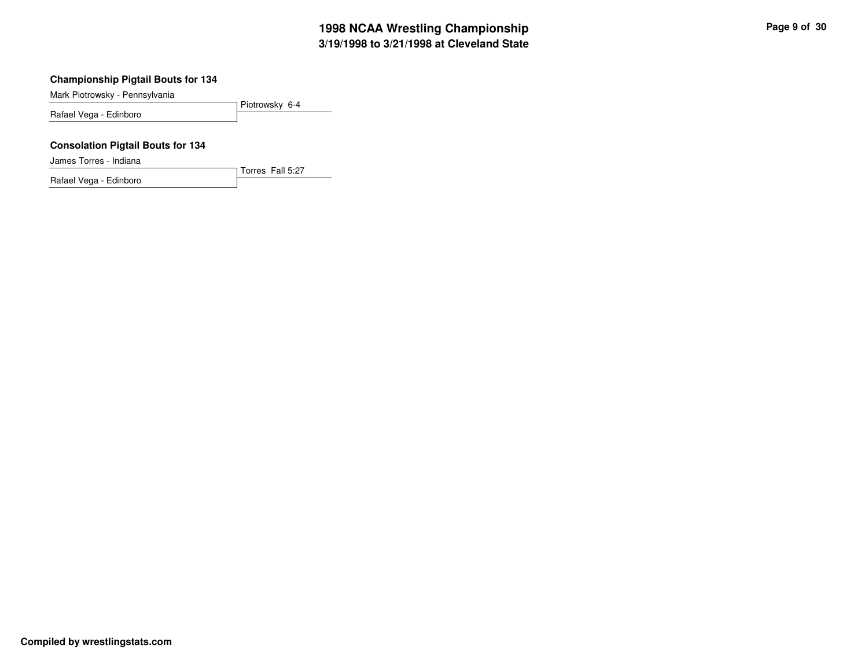Mark Piotrowsky - Pennsylvania

Piotrowsky 6-4 Rafael Vega - Edinboro

Torres Fall 5:27

#### **Consolation Pigtail Bouts for 134**

James Torres - Indiana

Rafael Vega - Edinboro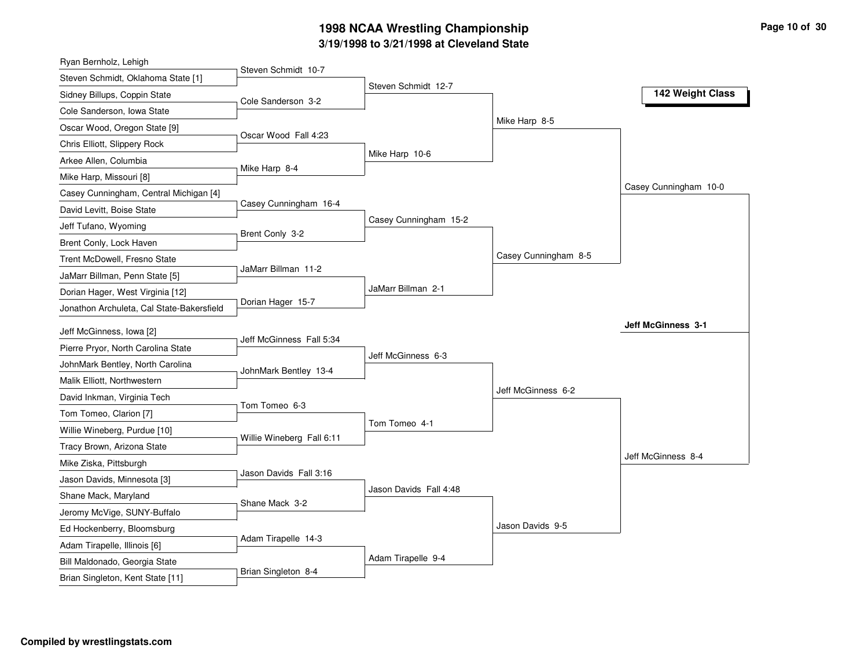## **3/19/1998 to 3/21/1998 at Cleveland State 1998 NCAA Wrestling Championship Page <sup>10</sup> of <sup>30</sup>**

| Ryan Bernholz, Lehigh                                         |                           |                        |                      |                           |
|---------------------------------------------------------------|---------------------------|------------------------|----------------------|---------------------------|
| Steven Schmidt, Oklahoma State [1]                            | Steven Schmidt 10-7       |                        |                      |                           |
| Sidney Billups, Coppin State                                  | Cole Sanderson 3-2        | Steven Schmidt 12-7    |                      | 142 Weight Class          |
| Cole Sanderson, Iowa State                                    |                           |                        |                      |                           |
| Oscar Wood, Oregon State [9]                                  |                           |                        | Mike Harp 8-5        |                           |
| Chris Elliott, Slippery Rock                                  | Oscar Wood Fall 4:23      |                        |                      |                           |
| Arkee Allen, Columbia                                         |                           | Mike Harp 10-6         |                      |                           |
| Mike Harp, Missouri [8]                                       | Mike Harp 8-4             |                        |                      |                           |
| Casey Cunningham, Central Michigan [4]                        |                           |                        |                      | Casey Cunningham 10-0     |
| David Levitt, Boise State                                     | Casey Cunningham 16-4     |                        |                      |                           |
| Jeff Tufano, Wyoming                                          |                           | Casey Cunningham 15-2  |                      |                           |
| Brent Conly, Lock Haven                                       | Brent Conly 3-2           |                        |                      |                           |
| Trent McDowell, Fresno State                                  |                           |                        | Casey Cunningham 8-5 |                           |
| JaMarr Billman, Penn State [5]                                | JaMarr Billman 11-2       |                        |                      |                           |
| Dorian Hager, West Virginia [12]                              |                           | JaMarr Billman 2-1     |                      |                           |
| Jonathon Archuleta, Cal State-Bakersfield                     | Dorian Hager 15-7         |                        |                      |                           |
| Jeff McGinness, Iowa [2]                                      |                           |                        |                      | <b>Jeff McGinness 3-1</b> |
| Pierre Pryor, North Carolina State                            | Jeff McGinness Fall 5:34  |                        |                      |                           |
| JohnMark Bentley, North Carolina                              |                           | Jeff McGinness 6-3     |                      |                           |
| Malik Elliott, Northwestern                                   | JohnMark Bentley 13-4     |                        |                      |                           |
| David Inkman, Virginia Tech                                   |                           |                        | Jeff McGinness 6-2   |                           |
| Tom Tomeo, Clarion [7]                                        | Tom Tomeo 6-3             |                        |                      |                           |
| Willie Wineberg, Purdue [10]                                  |                           | Tom Tomeo 4-1          |                      |                           |
| Tracy Brown, Arizona State                                    | Willie Wineberg Fall 6:11 |                        |                      |                           |
| Mike Ziska, Pittsburgh                                        |                           |                        |                      | Jeff McGinness 8-4        |
| Jason Davids, Minnesota [3]                                   | Jason Davids Fall 3:16    |                        |                      |                           |
| Shane Mack, Maryland                                          |                           | Jason Davids Fall 4:48 |                      |                           |
| Jeromy McVige, SUNY-Buffalo                                   | Shane Mack 3-2            |                        |                      |                           |
| Ed Hockenberry, Bloomsburg                                    |                           |                        | Jason Davids 9-5     |                           |
|                                                               | Adam Tirapelle 14-3       |                        |                      |                           |
|                                                               |                           |                        |                      |                           |
| Adam Tirapelle, Illinois [6]<br>Bill Maldonado, Georgia State |                           | Adam Tirapelle 9-4     |                      |                           |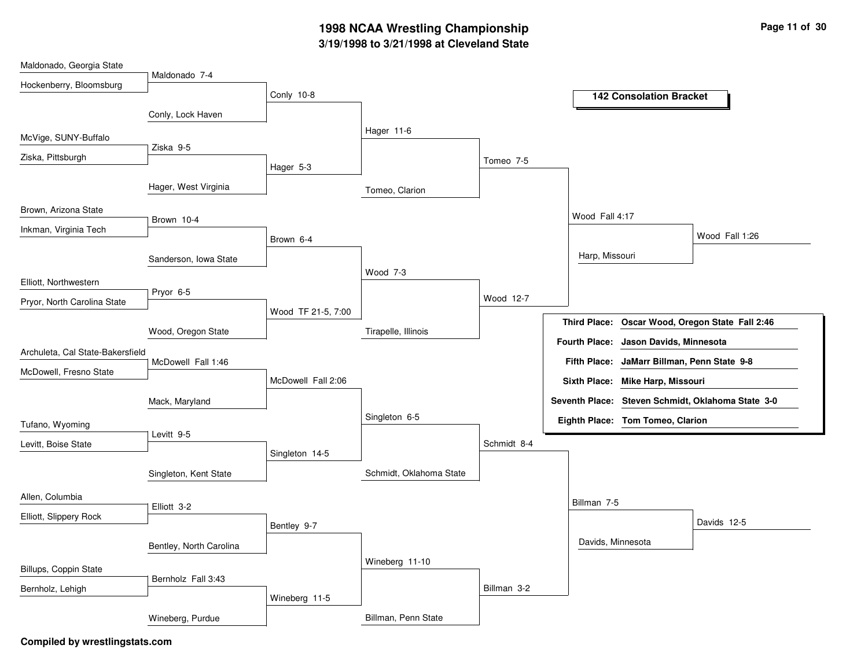## **3/19/1998 to 3/21/1998 at Cleveland State 1998 NCAA Wrestling Championship Page <sup>11</sup> of <sup>30</sup>**

| Maldonado, Georgia State         |                         |                    |                         |             |                     |                                             |                                                   |
|----------------------------------|-------------------------|--------------------|-------------------------|-------------|---------------------|---------------------------------------------|---------------------------------------------------|
| Hockenberry, Bloomsburg          | Maldonado 7-4           |                    |                         |             |                     |                                             |                                                   |
|                                  |                         | Conly 10-8         |                         |             |                     | <b>142 Consolation Bracket</b>              |                                                   |
|                                  | Conly, Lock Haven       |                    |                         |             |                     |                                             |                                                   |
| McVige, SUNY-Buffalo             |                         |                    | Hager 11-6              |             |                     |                                             |                                                   |
| Ziska, Pittsburgh                | Ziska 9-5               |                    |                         |             |                     |                                             |                                                   |
|                                  |                         | Hager 5-3          |                         | Tomeo 7-5   |                     |                                             |                                                   |
|                                  | Hager, West Virginia    |                    | Tomeo, Clarion          |             |                     |                                             |                                                   |
| Brown, Arizona State             |                         |                    |                         |             |                     |                                             |                                                   |
| Inkman, Virginia Tech            | Brown 10-4              |                    |                         |             | Wood Fall 4:17      |                                             |                                                   |
|                                  |                         | Brown 6-4          |                         |             |                     |                                             | Wood Fall 1:26                                    |
|                                  | Sanderson, Iowa State   |                    |                         |             | Harp, Missouri      |                                             |                                                   |
| Elliott, Northwestern            |                         |                    | Wood 7-3                |             |                     |                                             |                                                   |
|                                  | Pryor 6-5               |                    |                         | Wood 12-7   |                     |                                             |                                                   |
| Pryor, North Carolina State      |                         | Wood TF 21-5, 7:00 |                         |             |                     |                                             |                                                   |
|                                  | Wood, Oregon State      |                    | Tirapelle, Illinois     |             | <b>Third Place:</b> |                                             | Oscar Wood, Oregon State Fall 2:46                |
| Archuleta, Cal State-Bakersfield |                         |                    |                         |             |                     | Fourth Place: Jason Davids, Minnesota       |                                                   |
| McDowell, Fresno State           | McDowell Fall 1:46      |                    |                         |             |                     | Fifth Place: JaMarr Billman, Penn State 9-8 |                                                   |
|                                  |                         | McDowell Fall 2:06 |                         |             |                     | Sixth Place: Mike Harp, Missouri            |                                                   |
|                                  | Mack, Maryland          |                    |                         |             |                     |                                             | Seventh Place: Steven Schmidt, Oklahoma State 3-0 |
| Tufano, Wyoming                  |                         |                    | Singleton 6-5           |             |                     | Eighth Place: Tom Tomeo, Clarion            |                                                   |
|                                  | Levitt 9-5              |                    |                         |             |                     |                                             |                                                   |
| Levitt, Boise State              |                         | Singleton 14-5     |                         | Schmidt 8-4 |                     |                                             |                                                   |
|                                  | Singleton, Kent State   |                    | Schmidt, Oklahoma State |             |                     |                                             |                                                   |
|                                  |                         |                    |                         |             |                     |                                             |                                                   |
| Allen, Columbia                  | Elliott 3-2             |                    |                         |             | Billman 7-5         |                                             |                                                   |
| Elliott, Slippery Rock           |                         | Bentley 9-7        |                         |             |                     |                                             | Davids 12-5                                       |
|                                  | Bentley, North Carolina |                    |                         |             | Davids, Minnesota   |                                             |                                                   |
|                                  |                         |                    | Wineberg 11-10          |             |                     |                                             |                                                   |
| Billups, Coppin State            | Bernholz Fall 3:43      |                    |                         |             |                     |                                             |                                                   |
| Bernholz, Lehigh                 |                         | Wineberg 11-5      |                         | Billman 3-2 |                     |                                             |                                                   |
|                                  | Wineberg, Purdue        |                    | Billman, Penn State     |             |                     |                                             |                                                   |
|                                  |                         |                    |                         |             |                     |                                             |                                                   |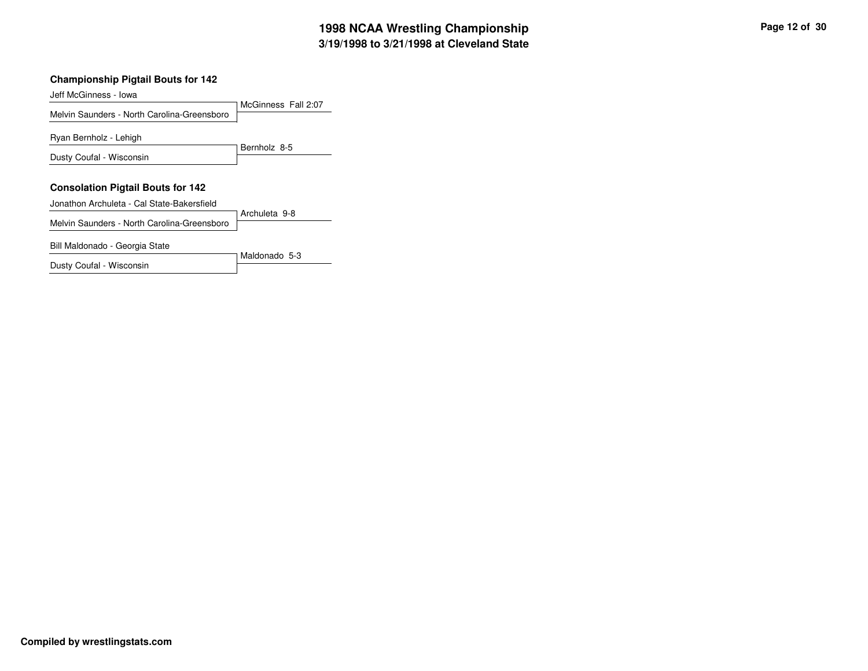### **3/19/1998 to 3/21/1998 at Cleveland State 1998 NCAA Wrestling Championship Page <sup>12</sup> of <sup>30</sup>**

#### **Championship Pigtail Bouts for 142**

Jeff McGinness - Iowa

McGinness Fall 2:07 Melvin Saunders - North Carolina-Greensboro Bernholz 8-5Ryan Bernholz - Lehigh Dusty Coufal - Wisconsin **Consolation Pigtail Bouts for 142** Archuleta 9-8 Jonathon Archuleta - Cal State-Bakersfield Melvin Saunders - North Carolina-Greensboro

Maldonado 5-3

Bill Maldonado - Georgia State

Dusty Coufal - Wisconsin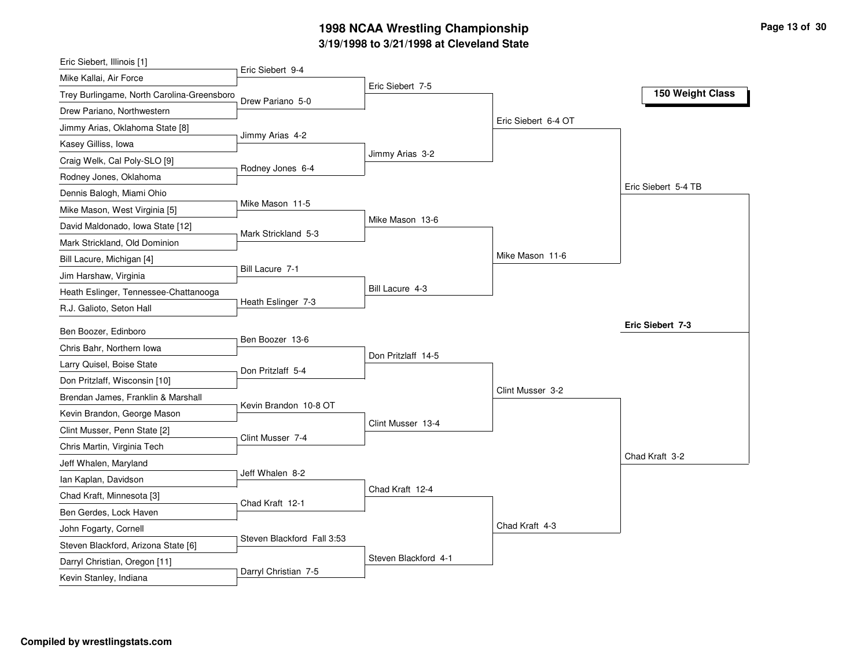### **3/19/1998 to 3/21/1998 at Cleveland State 1998 NCAA Wrestling Championship Page <sup>13</sup> of <sup>30</sup>**

| Eric Siebert, Illinois [1]                        |                            |                      |                     |                     |
|---------------------------------------------------|----------------------------|----------------------|---------------------|---------------------|
| Mike Kallai, Air Force                            | Eric Siebert 9-4           | Eric Siebert 7-5     |                     |                     |
| Trey Burlingame, North Carolina-Greensboro        | Drew Pariano 5-0           |                      |                     | 150 Weight Class    |
| Drew Pariano, Northwestern                        |                            |                      |                     |                     |
| Jimmy Arias, Oklahoma State [8]                   | Jimmy Arias 4-2            |                      | Eric Siebert 6-4 OT |                     |
| Kasey Gilliss, Iowa                               |                            |                      |                     |                     |
| Craig Welk, Cal Poly-SLO [9]                      | Rodney Jones 6-4           | Jimmy Arias 3-2      |                     |                     |
| Rodney Jones, Oklahoma                            |                            |                      |                     |                     |
| Dennis Balogh, Miami Ohio                         |                            |                      |                     | Eric Siebert 5-4 TB |
| Mike Mason, West Virginia [5]                     | Mike Mason 11-5            |                      |                     |                     |
| David Maldonado, Iowa State [12]                  | Mark Strickland 5-3        | Mike Mason 13-6      |                     |                     |
| Mark Strickland, Old Dominion                     |                            |                      |                     |                     |
| Bill Lacure, Michigan [4]                         |                            |                      | Mike Mason 11-6     |                     |
| Jim Harshaw, Virginia                             | Bill Lacure 7-1            |                      |                     |                     |
| Heath Eslinger, Tennessee-Chattanooga             |                            | Bill Lacure 4-3      |                     |                     |
| R.J. Galioto, Seton Hall                          | Heath Eslinger 7-3         |                      |                     |                     |
|                                                   |                            |                      |                     |                     |
|                                                   |                            |                      |                     | Eric Siebert 7-3    |
| Ben Boozer, Edinboro<br>Chris Bahr, Northern Iowa | Ben Boozer 13-6            |                      |                     |                     |
|                                                   |                            | Don Pritzlaff 14-5   |                     |                     |
| Larry Quisel, Boise State                         | Don Pritzlaff 5-4          |                      |                     |                     |
| Don Pritzlaff, Wisconsin [10]                     |                            |                      | Clint Musser 3-2    |                     |
| Brendan James, Franklin & Marshall                | Kevin Brandon 10-8 OT      |                      |                     |                     |
| Kevin Brandon, George Mason                       |                            | Clint Musser 13-4    |                     |                     |
| Clint Musser, Penn State [2]                      | Clint Musser 7-4           |                      |                     |                     |
| Chris Martin, Virginia Tech                       |                            |                      |                     | Chad Kraft 3-2      |
| Jeff Whalen, Maryland<br>lan Kaplan, Davidson     | Jeff Whalen 8-2            |                      |                     |                     |
| Chad Kraft, Minnesota [3]                         |                            | Chad Kraft 12-4      |                     |                     |
| Ben Gerdes, Lock Haven                            | Chad Kraft 12-1            |                      |                     |                     |
| John Fogarty, Cornell                             |                            |                      | Chad Kraft 4-3      |                     |
| Steven Blackford, Arizona State [6]               | Steven Blackford Fall 3:53 |                      |                     |                     |
| Darryl Christian, Oregon [11]                     | Darryl Christian 7-5       | Steven Blackford 4-1 |                     |                     |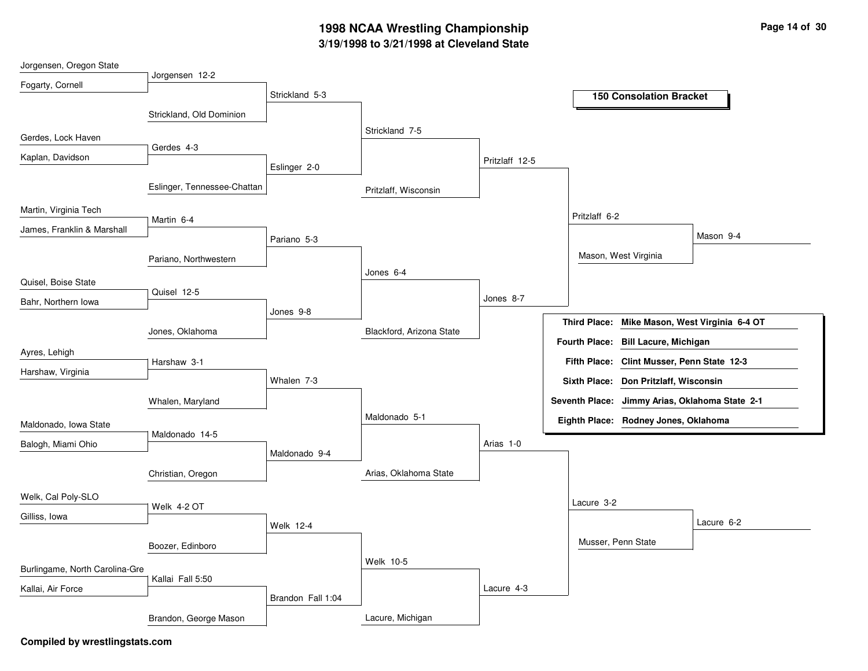## **3/19/1998 to 3/21/1998 at Cleveland State 1998 NCAA Wrestling Championship Page <sup>14</sup> of <sup>30</sup>**

| Jorgensen, Oregon State        |                             |                   |                          |                |                     |                                                |                                  |
|--------------------------------|-----------------------------|-------------------|--------------------------|----------------|---------------------|------------------------------------------------|----------------------------------|
| Fogarty, Cornell               | Jorgensen 12-2              |                   |                          |                |                     |                                                |                                  |
|                                |                             | Strickland 5-3    |                          |                |                     | <b>150 Consolation Bracket</b>                 |                                  |
|                                | Strickland, Old Dominion    |                   |                          |                |                     |                                                |                                  |
|                                |                             |                   | Strickland 7-5           |                |                     |                                                |                                  |
| Gerdes, Lock Haven             |                             |                   |                          |                |                     |                                                |                                  |
| Kaplan, Davidson               | Gerdes 4-3                  |                   |                          | Pritzlaff 12-5 |                     |                                                |                                  |
|                                |                             | Eslinger 2-0      |                          |                |                     |                                                |                                  |
|                                | Eslinger, Tennessee-Chattan |                   | Pritzlaff, Wisconsin     |                |                     |                                                |                                  |
| Martin, Virginia Tech          |                             |                   |                          |                | Pritzlaff 6-2       |                                                |                                  |
| James, Franklin & Marshall     | Martin 6-4                  |                   |                          |                |                     |                                                |                                  |
|                                |                             | Pariano 5-3       |                          |                |                     |                                                | Mason 9-4                        |
|                                | Pariano, Northwestern       |                   |                          |                |                     | Mason, West Virginia                           |                                  |
|                                |                             |                   | Jones 6-4                |                |                     |                                                |                                  |
| Quisel, Boise State            | Quisel 12-5                 |                   |                          |                |                     |                                                |                                  |
| Bahr, Northern Iowa            |                             |                   |                          | Jones 8-7      |                     |                                                |                                  |
|                                |                             | Jones 9-8         |                          |                | <b>Third Place:</b> |                                                | Mike Mason, West Virginia 6-4 OT |
|                                | Jones, Oklahoma             |                   | Blackford, Arizona State |                | Fourth Place:       | <b>Bill Lacure, Michigan</b>                   |                                  |
| Ayres, Lehigh                  |                             |                   |                          |                |                     |                                                |                                  |
| Harshaw, Virginia              | Harshaw 3-1                 |                   |                          |                |                     | Fifth Place: Clint Musser, Penn State 12-3     |                                  |
|                                |                             | Whalen 7-3        |                          |                | <b>Sixth Place:</b> | Don Pritzlaff, Wisconsin                       |                                  |
|                                | Whalen, Maryland            |                   |                          |                |                     | Seventh Place: Jimmy Arias, Oklahoma State 2-1 |                                  |
| Maldonado, Iowa State          |                             |                   | Maldonado 5-1            |                |                     | Eighth Place: Rodney Jones, Oklahoma           |                                  |
| Balogh, Miami Ohio             | Maldonado 14-5              |                   |                          | Arias 1-0      |                     |                                                |                                  |
|                                |                             | Maldonado 9-4     |                          |                |                     |                                                |                                  |
|                                | Christian, Oregon           |                   | Arias, Oklahoma State    |                |                     |                                                |                                  |
| Welk, Cal Poly-SLO             |                             |                   |                          |                |                     |                                                |                                  |
|                                | Welk 4-2 OT                 |                   |                          |                | Lacure 3-2          |                                                |                                  |
| Gilliss, Iowa                  |                             | <b>Welk 12-4</b>  |                          |                |                     |                                                | Lacure 6-2                       |
|                                | Boozer, Edinboro            |                   |                          |                |                     | Musser, Penn State                             |                                  |
| Burlingame, North Carolina-Gre |                             |                   | Welk 10-5                |                |                     |                                                |                                  |
|                                | Kallai Fall 5:50            |                   |                          | Lacure 4-3     |                     |                                                |                                  |
| Kallai, Air Force              |                             | Brandon Fall 1:04 |                          |                |                     |                                                |                                  |
|                                | Brandon, George Mason       |                   | Lacure, Michigan         |                |                     |                                                |                                  |
|                                |                             |                   |                          |                |                     |                                                |                                  |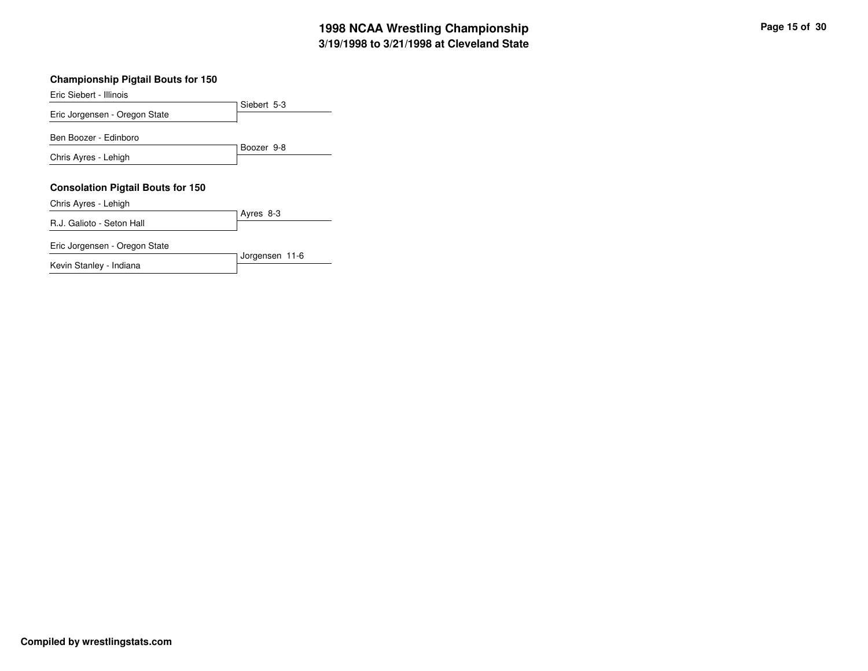Siebert 5-3 Eric Siebert - Illinois Eric Jorgensen - Oregon State Boozer 9-8Ben Boozer - Edinboro Chris Ayres - Lehigh **Consolation Pigtail Bouts for 150** Ayres 8-3 Chris Ayres - Lehigh R.J. Galioto - Seton Hall Jorgensen 11-6 Eric Jorgensen - Oregon State

Kevin Stanley - Indiana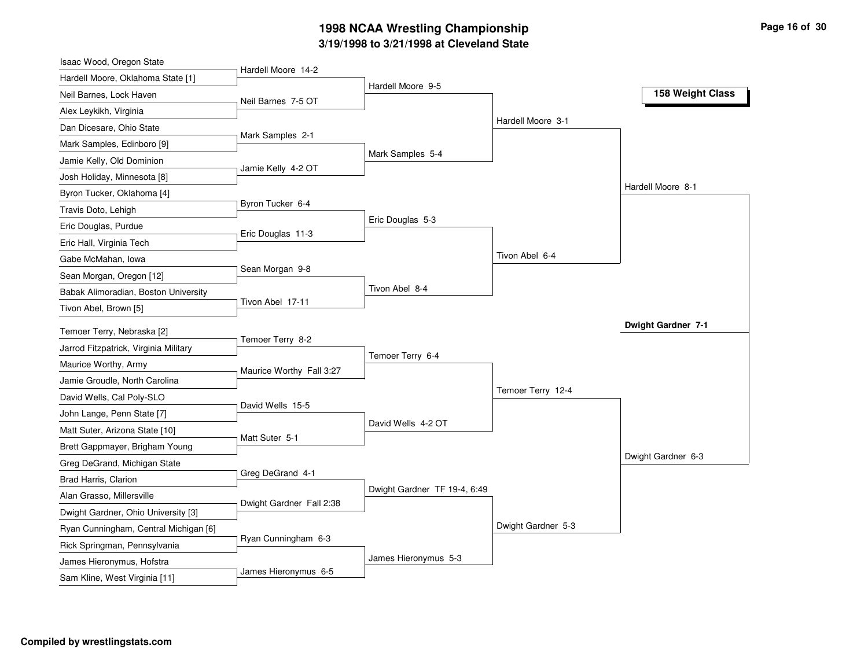## **3/19/19 9 8 to 3/21/19 9 8 at Cle v ela n d State 19 9 8 N C AA Wre stlin g C h a m pio n s hip**

| Isaac Wood, Oregon State              |                          |                              |                    |                    |
|---------------------------------------|--------------------------|------------------------------|--------------------|--------------------|
| Hardell Moore, Oklahoma State [1]     | Hardell Moore 14-2       | Hardell Moore 9-5            |                    |                    |
| Neil Barnes, Lock Haven               | Neil Barnes 7-5 OT       |                              |                    | 158 Weight Class   |
| Alex Leykikh, Virginia                |                          |                              |                    |                    |
| Dan Dicesare, Ohio State              |                          |                              | Hardell Moore 3-1  |                    |
| Mark Samples, Edinboro [9]            | Mark Samples 2-1         |                              |                    |                    |
| Jamie Kelly, Old Dominion             |                          | Mark Samples 5-4             |                    |                    |
| Josh Holiday, Minnesota [8]           | Jamie Kelly 4-2 OT       |                              |                    |                    |
| Byron Tucker, Oklahoma [4]            |                          |                              |                    | Hardell Moore 8-1  |
| Travis Doto, Lehigh                   | Byron Tucker 6-4         |                              |                    |                    |
| Eric Douglas, Purdue                  |                          | Eric Douglas 5-3             |                    |                    |
| Eric Hall, Virginia Tech              | Eric Douglas 11-3        |                              |                    |                    |
| Gabe McMahan, Iowa                    |                          |                              | Tivon Abel 6-4     |                    |
| Sean Morgan, Oregon [12]              | Sean Morgan 9-8          |                              |                    |                    |
| Babak Alimoradian, Boston University  |                          | Tivon Abel 8-4               |                    |                    |
| Tivon Abel, Brown [5]                 | Tivon Abel 17-11         |                              |                    |                    |
| Temoer Terry, Nebraska [2]            |                          |                              |                    | Dwight Gardner 7-1 |
| Jarrod Fitzpatrick, Virginia Military | Temoer Terry 8-2         |                              |                    |                    |
| Maurice Worthy, Army                  |                          | Temoer Terry 6-4             |                    |                    |
| Jamie Groudle, North Carolina         | Maurice Worthy Fall 3:27 |                              |                    |                    |
| David Wells, Cal Poly-SLO             |                          |                              | Temoer Terry 12-4  |                    |
| John Lange, Penn State [7]            | David Wells 15-5         |                              |                    |                    |
| Matt Suter, Arizona State [10]        |                          | David Wells 4-2 OT           |                    |                    |
| Brett Gappmayer, Brigham Young        | Matt Suter 5-1           |                              |                    |                    |
| Greg DeGrand, Michigan State          |                          |                              |                    | Dwight Gardner 6-3 |
| Brad Harris, Clarion                  | Greg DeGrand 4-1         |                              |                    |                    |
| Alan Grasso, Millersville             |                          | Dwight Gardner TF 19-4, 6:49 |                    |                    |
| Dwight Gardner, Ohio University [3]   | Dwight Gardner Fall 2:38 |                              |                    |                    |
| Ryan Cunningham, Central Michigan [6] |                          |                              | Dwight Gardner 5-3 |                    |
| Rick Springman, Pennsylvania          | Ryan Cunningham 6-3      |                              |                    |                    |
| James Hieronymus, Hofstra             |                          | James Hieronymus 5-3         |                    |                    |
| Sam Kline, West Virginia [11]         | James Hieronymus 6-5     |                              |                    |                    |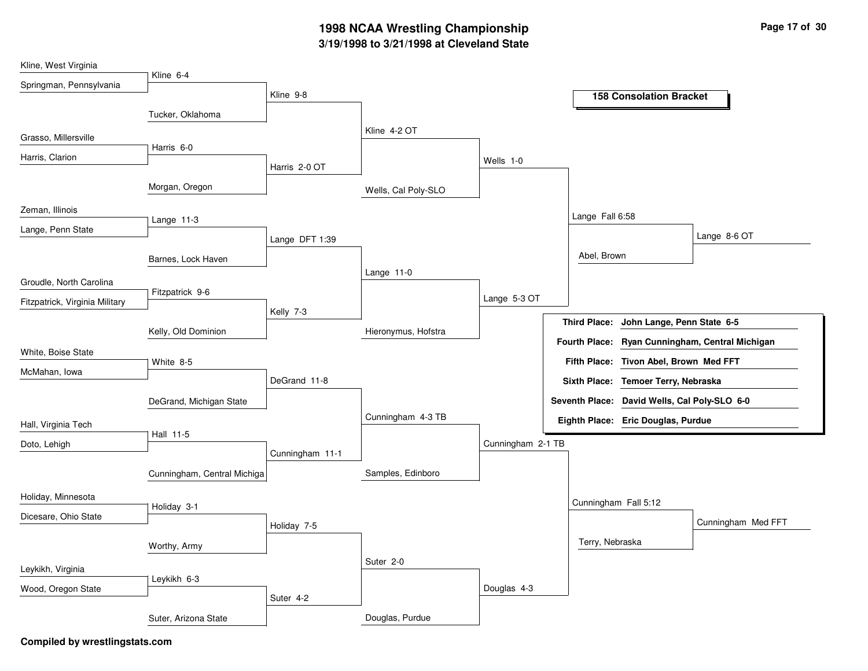## **3/19/1998 to 3/21/1998 at Cleveland State 1998 NCAA Wrestling Championship Page <sup>17</sup> of <sup>30</sup>**

| Kline, West Virginia           |                             |                 |                     |                   |                 |                                              |                                                 |
|--------------------------------|-----------------------------|-----------------|---------------------|-------------------|-----------------|----------------------------------------------|-------------------------------------------------|
| Springman, Pennsylvania        | Kline 6-4                   |                 |                     |                   |                 |                                              |                                                 |
|                                |                             | Kline 9-8       |                     |                   |                 | <b>158 Consolation Bracket</b>               |                                                 |
|                                | Tucker, Oklahoma            |                 |                     |                   |                 |                                              |                                                 |
|                                |                             |                 | Kline 4-2 OT        |                   |                 |                                              |                                                 |
| Grasso, Millersville           | Harris 6-0                  |                 |                     |                   |                 |                                              |                                                 |
| Harris, Clarion                |                             | Harris 2-0 OT   |                     | Wells 1-0         |                 |                                              |                                                 |
|                                |                             |                 |                     |                   |                 |                                              |                                                 |
|                                | Morgan, Oregon              |                 | Wells, Cal Poly-SLO |                   |                 |                                              |                                                 |
| Zeman, Illinois                |                             |                 |                     |                   |                 |                                              |                                                 |
| Lange, Penn State              | Lange 11-3                  |                 |                     |                   | Lange Fall 6:58 |                                              |                                                 |
|                                |                             | Lange DFT 1:39  |                     |                   |                 |                                              | Lange 8-6 OT                                    |
|                                | Barnes, Lock Haven          |                 |                     |                   | Abel, Brown     |                                              |                                                 |
|                                |                             |                 | Lange 11-0          |                   |                 |                                              |                                                 |
| Groudle, North Carolina        | Fitzpatrick 9-6             |                 |                     |                   |                 |                                              |                                                 |
| Fitzpatrick, Virginia Military |                             |                 |                     | Lange 5-3 OT      |                 |                                              |                                                 |
|                                |                             | Kelly 7-3       |                     |                   |                 | Third Place: John Lange, Penn State 6-5      |                                                 |
|                                | Kelly, Old Dominion         |                 | Hieronymus, Hofstra |                   |                 |                                              | Fourth Place: Ryan Cunningham, Central Michigan |
| White, Boise State             |                             |                 |                     |                   |                 |                                              |                                                 |
| McMahan, Iowa                  | White 8-5                   |                 |                     |                   |                 | Fifth Place: Tivon Abel, Brown Med FFT       |                                                 |
|                                |                             | DeGrand 11-8    |                     |                   |                 | Sixth Place: Temoer Terry, Nebraska          |                                                 |
|                                | DeGrand, Michigan State     |                 |                     |                   |                 | Seventh Place: David Wells, Cal Poly-SLO 6-0 |                                                 |
|                                |                             |                 | Cunningham 4-3 TB   |                   |                 | Eighth Place: Eric Douglas, Purdue           |                                                 |
| Hall, Virginia Tech            | Hall 11-5                   |                 |                     |                   |                 |                                              |                                                 |
| Doto, Lehigh                   |                             | Cunningham 11-1 |                     | Cunningham 2-1 TB |                 |                                              |                                                 |
|                                |                             |                 |                     |                   |                 |                                              |                                                 |
|                                | Cunningham, Central Michiga |                 | Samples, Edinboro   |                   |                 |                                              |                                                 |
| Holiday, Minnesota             |                             |                 |                     |                   |                 | Cunningham Fall 5:12                         |                                                 |
| Dicesare, Ohio State           | Holiday 3-1                 |                 |                     |                   |                 |                                              |                                                 |
|                                |                             | Holiday 7-5     |                     |                   |                 |                                              | Cunningham Med FFT                              |
|                                | Worthy, Army                |                 |                     |                   | Terry, Nebraska |                                              |                                                 |
|                                |                             |                 | Suter 2-0           |                   |                 |                                              |                                                 |
| Leykikh, Virginia              | Leykikh 6-3                 |                 |                     |                   |                 |                                              |                                                 |
| Wood, Oregon State             |                             | Suter 4-2       |                     | Douglas 4-3       |                 |                                              |                                                 |
|                                |                             |                 |                     |                   |                 |                                              |                                                 |
|                                | Suter, Arizona State        |                 | Douglas, Purdue     |                   |                 |                                              |                                                 |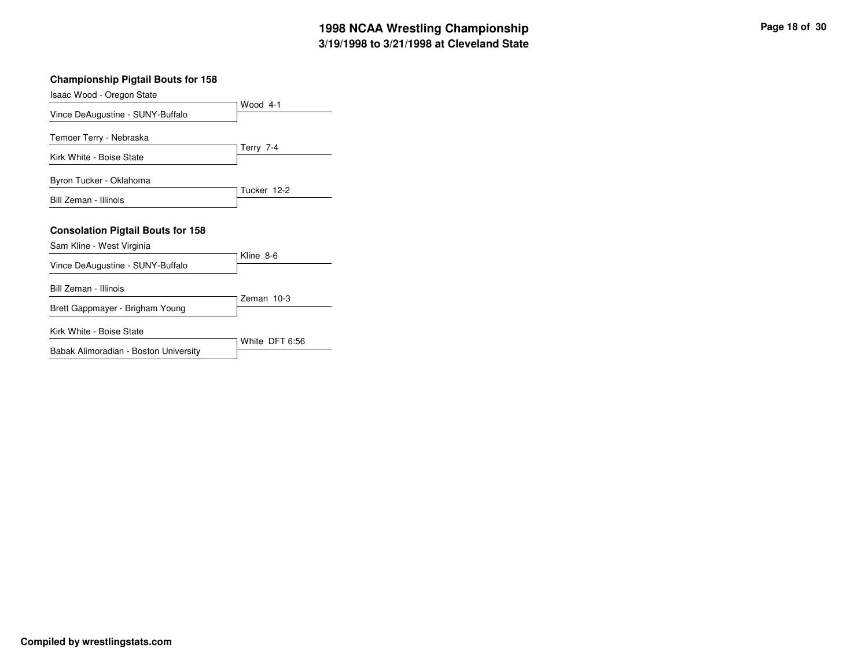| <b>Championship Pigtail Bouts for 158</b>                             |                |
|-----------------------------------------------------------------------|----------------|
| Isaac Wood - Oregon State                                             |                |
| Vince DeAugustine - SUNY-Buffalo                                      | Wood 4-1       |
| Temoer Terry - Nebraska                                               |                |
| Kirk White - Boise State                                              | Terry 7-4      |
| Byron Tucker - Oklahoma                                               |                |
| Bill Zeman - Illinois                                                 | Tucker 12-2    |
| <b>Consolation Pigtail Bouts for 158</b><br>Sam Kline - West Virginia |                |
| Vince DeAugustine - SUNY-Buffalo                                      | Kline 8-6      |
| Bill Zeman - Illinois                                                 | Zeman 10-3     |
| Brett Gappmayer - Brigham Young                                       |                |
| Kirk White - Boise State                                              | White DFT 6:56 |
| Babak Alimoradian - Boston University                                 |                |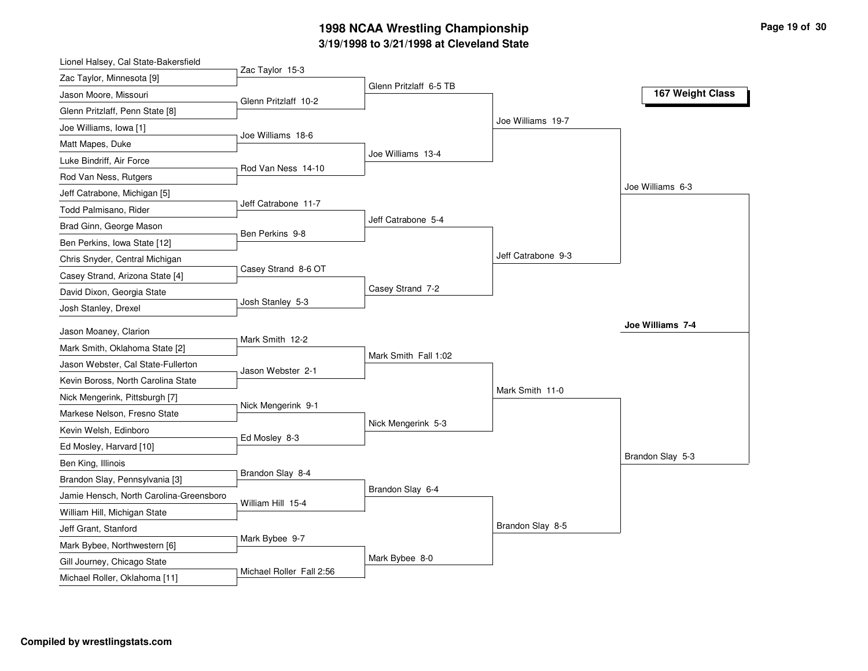## **3/19/1998 to 3/21/1998 at Cleveland State 1998 NCAA Wrestling Championship Page <sup>19</sup> of <sup>30</sup>**

| Lionel Halsey, Cal State-Bakersfield    |                          |                        |                    |                  |
|-----------------------------------------|--------------------------|------------------------|--------------------|------------------|
| Zac Taylor, Minnesota [9]               | Zac Taylor 15-3          | Glenn Pritzlaff 6-5 TB |                    |                  |
| Jason Moore, Missouri                   | Glenn Pritzlaff 10-2     |                        |                    | 167 Weight Class |
| Glenn Pritzlaff, Penn State [8]         |                          |                        |                    |                  |
| Joe Williams, Iowa [1]                  | Joe Williams 18-6        |                        | Joe Williams 19-7  |                  |
| Matt Mapes, Duke                        |                          |                        |                    |                  |
| Luke Bindriff, Air Force                |                          | Joe Williams 13-4      |                    |                  |
| Rod Van Ness, Rutgers                   | Rod Van Ness 14-10       |                        |                    |                  |
| Jeff Catrabone, Michigan [5]            |                          |                        |                    | Joe Williams 6-3 |
| Todd Palmisano, Rider                   | Jeff Catrabone 11-7      |                        |                    |                  |
| Brad Ginn, George Mason                 | Ben Perkins 9-8          | Jeff Catrabone 5-4     |                    |                  |
| Ben Perkins, Iowa State [12]            |                          |                        |                    |                  |
| Chris Snyder, Central Michigan          |                          |                        | Jeff Catrabone 9-3 |                  |
| Casey Strand, Arizona State [4]         | Casey Strand 8-6 OT      |                        |                    |                  |
| David Dixon, Georgia State              |                          | Casey Strand 7-2       |                    |                  |
| Josh Stanley, Drexel                    | Josh Stanley 5-3         |                        |                    |                  |
| Jason Moaney, Clarion                   |                          |                        |                    | Joe Williams 7-4 |
| Mark Smith, Oklahoma State [2]          | Mark Smith 12-2          |                        |                    |                  |
| Jason Webster, Cal State-Fullerton      |                          | Mark Smith Fall 1:02   |                    |                  |
| Kevin Boross, North Carolina State      | Jason Webster 2-1        |                        |                    |                  |
| Nick Mengerink, Pittsburgh [7]          |                          |                        | Mark Smith 11-0    |                  |
| Markese Nelson, Fresno State            | Nick Mengerink 9-1       |                        |                    |                  |
| Kevin Welsh, Edinboro                   |                          | Nick Mengerink 5-3     |                    |                  |
| Ed Mosley, Harvard [10]                 | Ed Mosley 8-3            |                        |                    |                  |
| Ben King, Illinois                      |                          |                        |                    | Brandon Slay 5-3 |
| Brandon Slay, Pennsylvania [3]          | Brandon Slay 8-4         |                        |                    |                  |
| Jamie Hensch, North Carolina-Greensboro |                          | Brandon Slay 6-4       |                    |                  |
| William Hill, Michigan State            | William Hill 15-4        |                        |                    |                  |
| Jeff Grant, Stanford                    |                          |                        | Brandon Slay 8-5   |                  |
| Mark Bybee, Northwestern [6]            | Mark Bybee 9-7           |                        |                    |                  |
| Gill Journey, Chicago State             |                          | Mark Bybee 8-0         |                    |                  |
| Michael Roller, Oklahoma [11]           | Michael Roller Fall 2:56 |                        |                    |                  |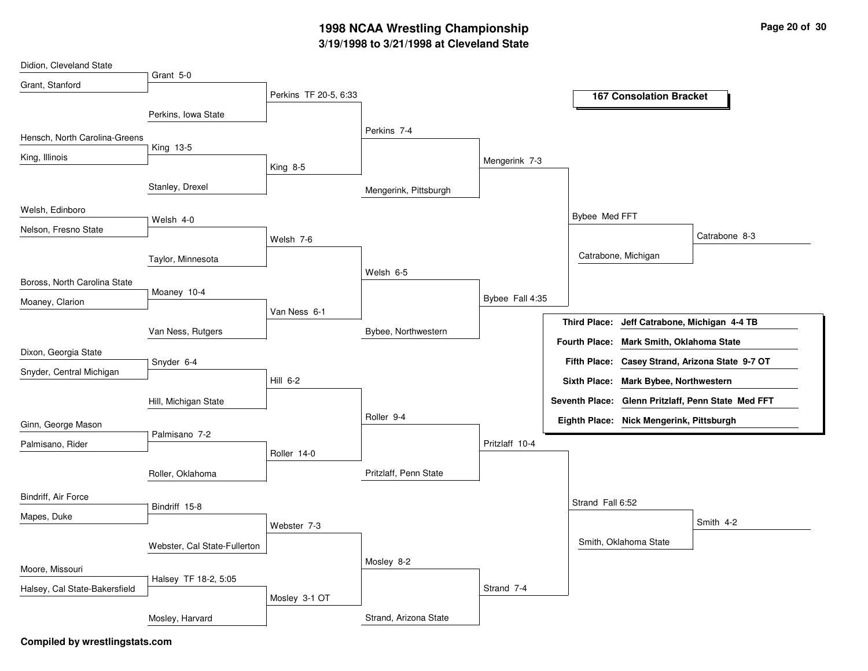## **3/19/1998 to 3/21/1998 at Cleveland State 1998 NCAA Wrestling Championship Page <sup>20</sup> of <sup>30</sup>**

| Didion, Cleveland State       |                              |                       |                       |                 |                     |                                          |                                                    |
|-------------------------------|------------------------------|-----------------------|-----------------------|-----------------|---------------------|------------------------------------------|----------------------------------------------------|
| Grant, Stanford               | Grant 5-0                    |                       |                       |                 |                     |                                          |                                                    |
|                               |                              | Perkins TF 20-5, 6:33 |                       |                 |                     | <b>167 Consolation Bracket</b>           |                                                    |
|                               | Perkins, Iowa State          |                       |                       |                 |                     |                                          |                                                    |
| Hensch, North Carolina-Greens |                              |                       | Perkins 7-4           |                 |                     |                                          |                                                    |
|                               | King 13-5                    |                       |                       |                 |                     |                                          |                                                    |
| King, Illinois                |                              | King 8-5              |                       | Mengerink 7-3   |                     |                                          |                                                    |
|                               | Stanley, Drexel              |                       |                       |                 |                     |                                          |                                                    |
|                               |                              |                       | Mengerink, Pittsburgh |                 |                     |                                          |                                                    |
| Welsh, Edinboro               | Welsh 4-0                    |                       |                       |                 | Bybee Med FFT       |                                          |                                                    |
| Nelson, Fresno State          |                              |                       |                       |                 |                     |                                          | Catrabone 8-3                                      |
|                               |                              | Welsh 7-6             |                       |                 |                     | Catrabone, Michigan                      |                                                    |
|                               | Taylor, Minnesota            |                       |                       |                 |                     |                                          |                                                    |
| Boross, North Carolina State  |                              |                       | Welsh 6-5             |                 |                     |                                          |                                                    |
| Moaney, Clarion               | Moaney 10-4                  |                       |                       | Bybee Fall 4:35 |                     |                                          |                                                    |
|                               |                              | Van Ness 6-1          |                       |                 |                     |                                          |                                                    |
|                               | Van Ness, Rutgers            |                       | Bybee, Northwestern   |                 | <b>Third Place:</b> | Jeff Catrabone, Michigan 4-4 TB          |                                                    |
| Dixon, Georgia State          |                              |                       |                       |                 |                     | Fourth Place: Mark Smith, Oklahoma State |                                                    |
|                               | Snyder 6-4                   |                       |                       |                 |                     |                                          | Fifth Place: Casey Strand, Arizona State 9-7 OT    |
| Snyder, Central Michigan      |                              | $Hill 6-2$            |                       |                 |                     | Sixth Place: Mark Bybee, Northwestern    |                                                    |
|                               | Hill, Michigan State         |                       |                       |                 |                     |                                          | Seventh Place: Glenn Pritzlaff, Penn State Med FFT |
|                               |                              |                       | Roller 9-4            |                 |                     | Eighth Place: Nick Mengerink, Pittsburgh |                                                    |
| Ginn, George Mason            | Palmisano 7-2                |                       |                       |                 |                     |                                          |                                                    |
| Palmisano, Rider              |                              | Roller 14-0           |                       | Pritzlaff 10-4  |                     |                                          |                                                    |
|                               |                              |                       |                       |                 |                     |                                          |                                                    |
|                               | Roller, Oklahoma             |                       | Pritzlaff, Penn State |                 |                     |                                          |                                                    |
| Bindriff, Air Force           |                              |                       |                       |                 | Strand Fall 6:52    |                                          |                                                    |
| Mapes, Duke                   | Bindriff 15-8                |                       |                       |                 |                     |                                          |                                                    |
|                               |                              | Webster 7-3           |                       |                 |                     |                                          | Smith 4-2                                          |
|                               | Webster, Cal State-Fullerton |                       |                       |                 |                     | Smith, Oklahoma State                    |                                                    |
|                               |                              |                       | Mosley 8-2            |                 |                     |                                          |                                                    |
| Moore, Missouri               | Halsey TF 18-2, 5:05         |                       |                       |                 |                     |                                          |                                                    |
| Halsey, Cal State-Bakersfield |                              | Mosley 3-1 OT         |                       | Strand 7-4      |                     |                                          |                                                    |
|                               | Mosley, Harvard              |                       | Strand, Arizona State |                 |                     |                                          |                                                    |
|                               |                              |                       |                       |                 |                     |                                          |                                                    |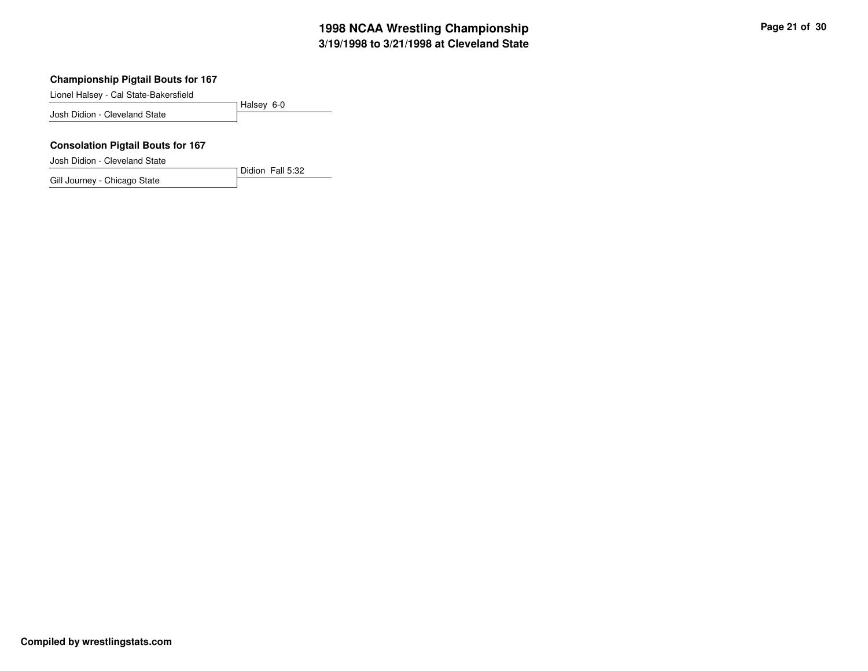Lionel Halsey - Cal State-Bakersfield

Halsey 6-0 Josh Didion - Cleveland State

Didion Fall 5:32

#### **Consolation Pigtail Bouts for 167**

Josh Didion - Cleveland State

Gill Journey - Chicago State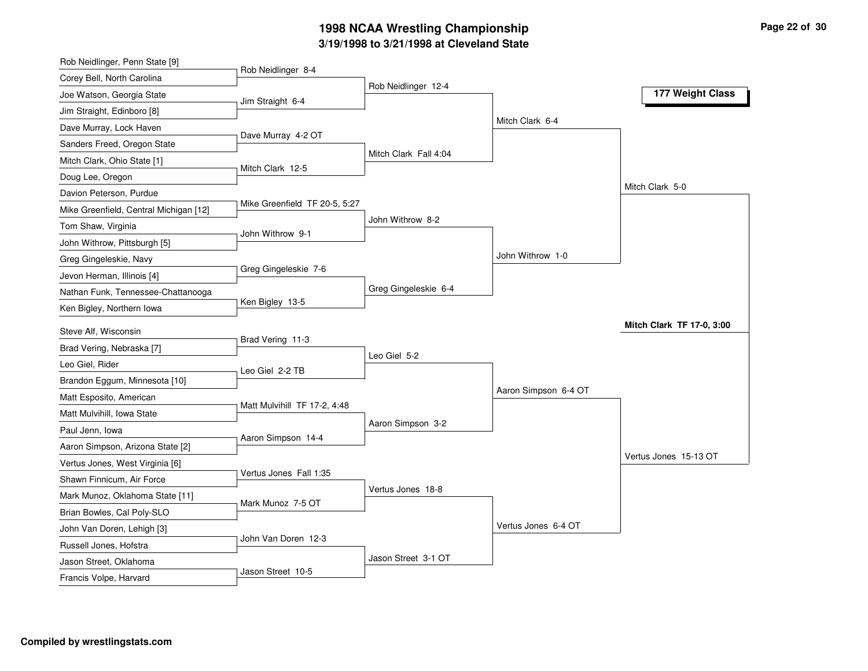## **3/19/1998 to 3/21/1998 at Cleveland State 1998 NCAA Wrestling Championship Page <sup>22</sup> of <sup>30</sup>**

| Rob Neidlinger, Penn State [9]                   |                               |                       |                      |                           |
|--------------------------------------------------|-------------------------------|-----------------------|----------------------|---------------------------|
| Corey Bell, North Carolina                       | Rob Neidlinger 8-4            | Rob Neidlinger 12-4   |                      |                           |
| Joe Watson, Georgia State                        | Jim Straight 6-4              |                       |                      | 177 Weight Class          |
| Jim Straight, Edinboro [8]                       |                               |                       |                      |                           |
| Dave Murray, Lock Haven                          |                               |                       | Mitch Clark 6-4      |                           |
| Sanders Freed, Oregon State                      | Dave Murray 4-2 OT            |                       |                      |                           |
| Mitch Clark, Ohio State [1]                      |                               | Mitch Clark Fall 4:04 |                      |                           |
| Doug Lee, Oregon                                 | Mitch Clark 12-5              |                       |                      |                           |
| Davion Peterson, Purdue                          |                               |                       |                      | Mitch Clark 5-0           |
| Mike Greenfield, Central Michigan [12]           | Mike Greenfield TF 20-5, 5:27 |                       |                      |                           |
| Tom Shaw, Virginia                               | John Withrow 9-1              | John Withrow 8-2      |                      |                           |
| John Withrow, Pittsburgh [5]                     |                               |                       |                      |                           |
| Greg Gingeleskie, Navy                           |                               |                       | John Withrow 1-0     |                           |
| Jevon Herman, Illinois [4]                       | Greg Gingeleskie 7-6          |                       |                      |                           |
| Nathan Funk, Tennessee-Chattanooga               |                               | Greg Gingeleskie 6-4  |                      |                           |
| Ken Bigley, Northern Iowa                        | Ken Bigley 13-5               |                       |                      |                           |
| Steve Alf, Wisconsin                             |                               |                       |                      | Mitch Clark TF 17-0, 3:00 |
|                                                  | Brad Vering 11-3              |                       |                      |                           |
|                                                  |                               |                       |                      |                           |
| Brad Vering, Nebraska [7]                        |                               | Leo Giel 5-2          |                      |                           |
| Leo Giel, Rider                                  | Leo Giel 2-2 TB               |                       |                      |                           |
| Brandon Eggum, Minnesota [10]                    |                               |                       | Aaron Simpson 6-4 OT |                           |
| Matt Esposito, American                          | Matt Mulvihill TF 17-2, 4:48  |                       |                      |                           |
| Matt Mulvihill, Iowa State                       |                               | Aaron Simpson 3-2     |                      |                           |
| Paul Jenn, Iowa                                  | Aaron Simpson 14-4            |                       |                      |                           |
| Aaron Simpson, Arizona State [2]                 |                               |                       |                      | Vertus Jones 15-13 OT     |
| Vertus Jones, West Virginia [6]                  | Vertus Jones Fall 1:35        |                       |                      |                           |
| Shawn Finnicum, Air Force                        |                               | Vertus Jones 18-8     |                      |                           |
| Mark Munoz, Oklahoma State [11]                  | Mark Munoz 7-5 OT             |                       |                      |                           |
| Brian Bowles, Cal Poly-SLO                       |                               |                       | Vertus Jones 6-4 OT  |                           |
| John Van Doren, Lehigh [3]                       | John Van Doren 12-3           |                       |                      |                           |
| Russell Jones, Hofstra<br>Jason Street, Oklahoma |                               | Jason Street 3-1 OT   |                      |                           |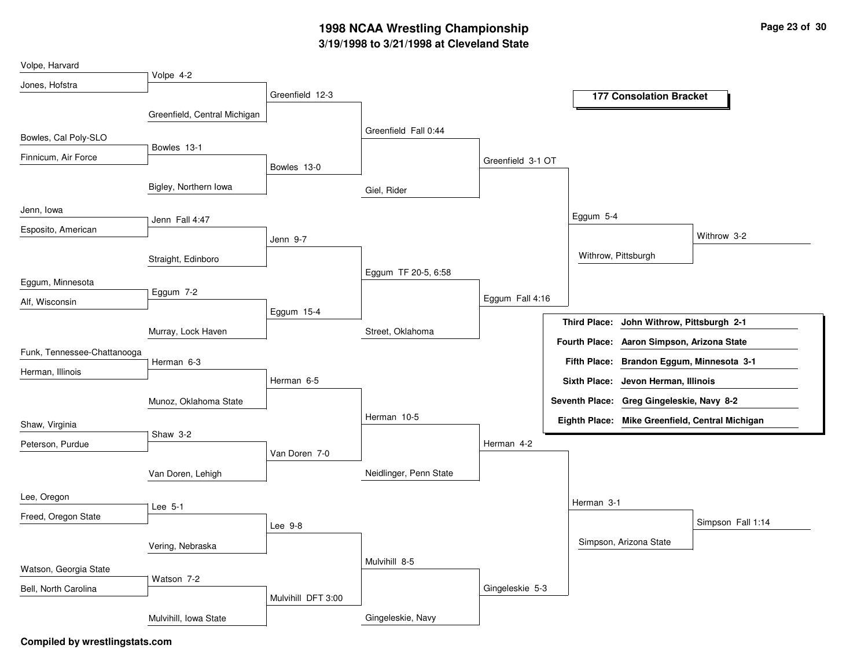## **3/19/1998 to 3/21/1998 at Cleveland State 1998 NCAA Wrestling Championship Page <sup>23</sup> of <sup>30</sup>**

| Volpe, Harvard              |                              |                    |                        |                   |                     |                                                 |                   |
|-----------------------------|------------------------------|--------------------|------------------------|-------------------|---------------------|-------------------------------------------------|-------------------|
| Jones, Hofstra              | Volpe 4-2                    |                    |                        |                   |                     |                                                 |                   |
|                             |                              | Greenfield 12-3    |                        |                   |                     | <b>177 Consolation Bracket</b>                  |                   |
|                             | Greenfield, Central Michigan |                    |                        |                   |                     |                                                 |                   |
|                             |                              |                    | Greenfield Fall 0:44   |                   |                     |                                                 |                   |
| Bowles, Cal Poly-SLO        |                              |                    |                        |                   |                     |                                                 |                   |
| Finnicum, Air Force         | Bowles 13-1                  |                    |                        | Greenfield 3-1 OT |                     |                                                 |                   |
|                             |                              | Bowles 13-0        |                        |                   |                     |                                                 |                   |
|                             | Bigley, Northern Iowa        |                    | Giel, Rider            |                   |                     |                                                 |                   |
| Jenn, Iowa                  |                              |                    |                        |                   |                     |                                                 |                   |
|                             | Jenn Fall 4:47               |                    |                        |                   | Eggum 5-4           |                                                 |                   |
| Esposito, American          |                              | Jenn 9-7           |                        |                   |                     |                                                 | Withrow 3-2       |
|                             | Straight, Edinboro           |                    |                        |                   |                     | Withrow, Pittsburgh                             |                   |
|                             |                              |                    | Eggum TF 20-5, 6:58    |                   |                     |                                                 |                   |
| Eggum, Minnesota            |                              |                    |                        |                   |                     |                                                 |                   |
| Alf, Wisconsin              | Eggum 7-2                    |                    |                        | Eggum Fall 4:16   |                     |                                                 |                   |
|                             |                              | Eggum 15-4         |                        |                   | <b>Third Place:</b> | John Withrow, Pittsburgh 2-1                    |                   |
|                             | Murray, Lock Haven           |                    | Street, Oklahoma       |                   |                     |                                                 |                   |
| Funk, Tennessee-Chattanooga |                              |                    |                        |                   |                     | Fourth Place: Aaron Simpson, Arizona State      |                   |
|                             | Herman 6-3                   |                    |                        |                   |                     | Fifth Place: Brandon Eggum, Minnesota 3-1       |                   |
| Herman, Illinois            |                              | Herman 6-5         |                        |                   |                     | Sixth Place: Jevon Herman, Illinois             |                   |
|                             | Munoz, Oklahoma State        |                    |                        |                   |                     | Seventh Place: Greg Gingeleskie, Navy 8-2       |                   |
| Shaw, Virginia              |                              |                    | Herman 10-5            |                   |                     | Eighth Place: Mike Greenfield, Central Michigan |                   |
|                             | Shaw 3-2                     |                    |                        |                   |                     |                                                 |                   |
| Peterson, Purdue            |                              | Van Doren 7-0      |                        | Herman 4-2        |                     |                                                 |                   |
|                             | Van Doren, Lehigh            |                    | Neidlinger, Penn State |                   |                     |                                                 |                   |
| Lee, Oregon                 |                              |                    |                        |                   |                     |                                                 |                   |
|                             | Lee 5-1                      |                    |                        |                   | Herman 3-1          |                                                 |                   |
| Freed, Oregon State         |                              | Lee 9-8            |                        |                   |                     |                                                 | Simpson Fall 1:14 |
|                             | Vering, Nebraska             |                    |                        |                   |                     | Simpson, Arizona State                          |                   |
| Watson, Georgia State       |                              |                    | Mulvihill 8-5          |                   |                     |                                                 |                   |
|                             | Watson 7-2                   |                    |                        |                   |                     |                                                 |                   |
| Bell, North Carolina        |                              | Mulvihill DFT 3:00 |                        | Gingeleskie 5-3   |                     |                                                 |                   |
|                             | Mulvihill, Iowa State        |                    | Gingeleskie, Navy      |                   |                     |                                                 |                   |
|                             |                              |                    |                        |                   |                     |                                                 |                   |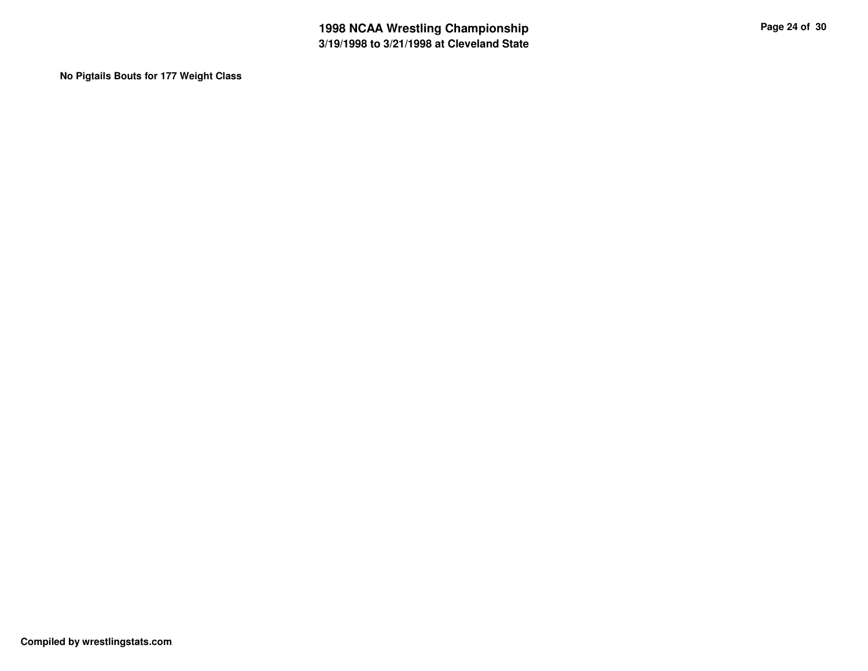**No Pigtails Bouts for 177 Weight Class**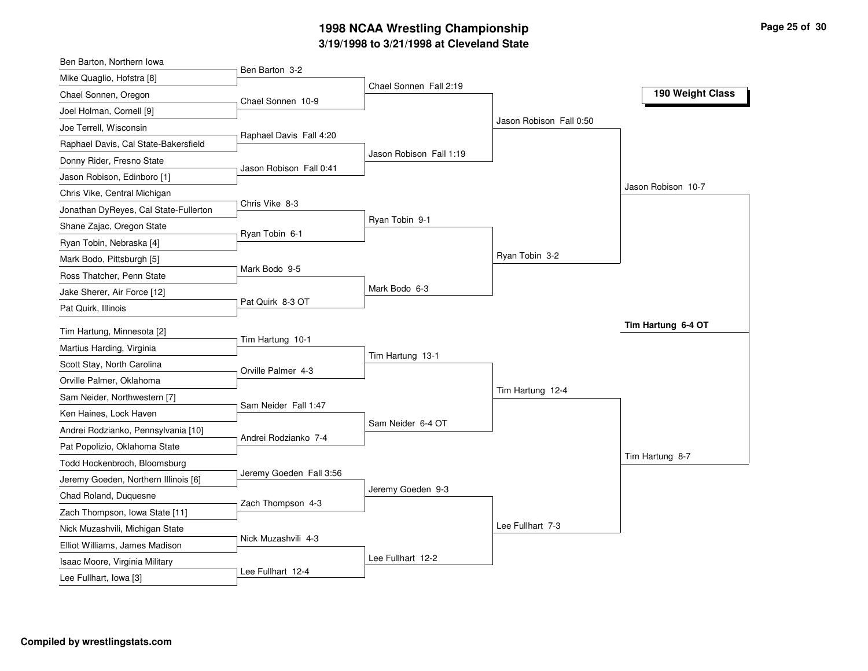## **3/19/1998 to 3/21/1998 at Cleveland State 1998 NCAA Wrestling Championship Page <sup>25</sup> of <sup>30</sup>**

| Ben Barton, Northern Iowa             |                         |                         |                         |                    |
|---------------------------------------|-------------------------|-------------------------|-------------------------|--------------------|
| Mike Quaglio, Hofstra [8]             | Ben Barton 3-2          | Chael Sonnen Fall 2:19  |                         |                    |
| Chael Sonnen, Oregon                  | Chael Sonnen 10-9       |                         |                         | 190 Weight Class   |
| Joel Holman, Cornell [9]              |                         |                         |                         |                    |
| Joe Terrell, Wisconsin                | Raphael Davis Fall 4:20 |                         | Jason Robison Fall 0:50 |                    |
| Raphael Davis, Cal State-Bakersfield  |                         |                         |                         |                    |
| Donny Rider, Fresno State             | Jason Robison Fall 0:41 | Jason Robison Fall 1:19 |                         |                    |
| Jason Robison, Edinboro [1]           |                         |                         |                         |                    |
| Chris Vike, Central Michigan          |                         |                         |                         | Jason Robison 10-7 |
| Jonathan DyReyes, Cal State-Fullerton | Chris Vike 8-3          |                         |                         |                    |
| Shane Zajac, Oregon State             | Ryan Tobin 6-1          | Ryan Tobin 9-1          |                         |                    |
| Ryan Tobin, Nebraska [4]              |                         |                         |                         |                    |
| Mark Bodo, Pittsburgh [5]             |                         |                         | Ryan Tobin 3-2          |                    |
| Ross Thatcher, Penn State             | Mark Bodo 9-5           |                         |                         |                    |
| Jake Sherer, Air Force [12]           |                         | Mark Bodo 6-3           |                         |                    |
| Pat Quirk, Illinois                   | Pat Quirk 8-3 OT        |                         |                         |                    |
| Tim Hartung, Minnesota [2]            |                         |                         |                         | Tim Hartung 6-4 OT |
| Martius Harding, Virginia             | Tim Hartung 10-1        |                         |                         |                    |
| Scott Stay, North Carolina            |                         | Tim Hartung 13-1        |                         |                    |
| Orville Palmer, Oklahoma              | Orville Palmer 4-3      |                         |                         |                    |
| Sam Neider, Northwestern [7]          |                         |                         | Tim Hartung 12-4        |                    |
| Ken Haines, Lock Haven                | Sam Neider Fall 1:47    |                         |                         |                    |
| Andrei Rodzianko, Pennsylvania [10]   |                         | Sam Neider 6-4 OT       |                         |                    |
| Pat Popolizio, Oklahoma State         | Andrei Rodzianko 7-4    |                         |                         |                    |
| Todd Hockenbroch, Bloomsburg          |                         |                         |                         | Tim Hartung 8-7    |
| Jeremy Goeden, Northern Illinois [6]  | Jeremy Goeden Fall 3:56 |                         |                         |                    |
| Chad Roland, Duquesne                 |                         | Jeremy Goeden 9-3       |                         |                    |
| Zach Thompson, Iowa State [11]        | Zach Thompson 4-3       |                         |                         |                    |
| Nick Muzashvili, Michigan State       |                         |                         | Lee Fullhart 7-3        |                    |
| Elliot Williams, James Madison        | Nick Muzashvili 4-3     |                         |                         |                    |
| Isaac Moore, Virginia Military        |                         | Lee Fullhart 12-2       |                         |                    |
| Lee Fullhart, Iowa [3]                | Lee Fullhart 12-4       |                         |                         |                    |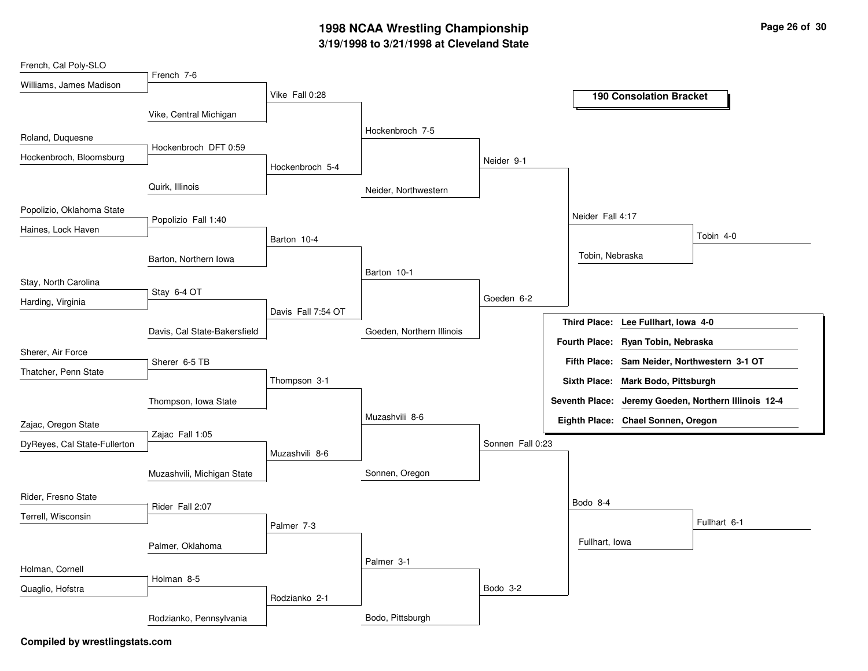## **3/19/1998 to 3/21/1998 at Cleveland State 1998 NCAA Wrestling Championship Page <sup>26</sup> of <sup>30</sup>**

| French, Cal Poly-SLO         |                              |                    |                           |                  |                     |                                              |                                                      |
|------------------------------|------------------------------|--------------------|---------------------------|------------------|---------------------|----------------------------------------------|------------------------------------------------------|
| Williams, James Madison      | French 7-6                   |                    |                           |                  |                     |                                              |                                                      |
|                              |                              | Vike Fall 0:28     |                           |                  |                     | <b>190 Consolation Bracket</b>               |                                                      |
|                              | Vike, Central Michigan       |                    |                           |                  |                     |                                              |                                                      |
| Roland, Duquesne             |                              |                    | Hockenbroch 7-5           |                  |                     |                                              |                                                      |
| Hockenbroch, Bloomsburg      | Hockenbroch DFT 0:59         |                    |                           | Neider 9-1       |                     |                                              |                                                      |
|                              |                              | Hockenbroch 5-4    |                           |                  |                     |                                              |                                                      |
|                              | Quirk, Illinois              |                    | Neider, Northwestern      |                  |                     |                                              |                                                      |
| Popolizio, Oklahoma State    |                              |                    |                           |                  |                     |                                              |                                                      |
| Haines, Lock Haven           | Popolizio Fall 1:40          |                    |                           |                  | Neider Fall 4:17    |                                              |                                                      |
|                              |                              | Barton 10-4        |                           |                  |                     |                                              | Tobin 4-0                                            |
|                              | Barton, Northern Iowa        |                    |                           |                  | Tobin, Nebraska     |                                              |                                                      |
| Stay, North Carolina         |                              |                    | Barton 10-1               |                  |                     |                                              |                                                      |
|                              | Stay 6-4 OT                  |                    |                           | Goeden 6-2       |                     |                                              |                                                      |
| Harding, Virginia            |                              | Davis Fall 7:54 OT |                           |                  |                     |                                              |                                                      |
|                              | Davis, Cal State-Bakersfield |                    | Goeden, Northern Illinois |                  | <b>Third Place:</b> | Lee Fullhart, Iowa 4-0                       |                                                      |
| Sherer, Air Force            |                              |                    |                           |                  |                     | Fourth Place: Ryan Tobin, Nebraska           |                                                      |
| Thatcher, Penn State         | Sherer 6-5 TB                |                    |                           |                  |                     | Fifth Place: Sam Neider, Northwestern 3-1 OT |                                                      |
|                              |                              | Thompson 3-1       |                           |                  |                     | Sixth Place: Mark Bodo, Pittsburgh           |                                                      |
|                              | Thompson, Iowa State         |                    |                           |                  |                     |                                              | Seventh Place: Jeremy Goeden, Northern Illinois 12-4 |
| Zajac, Oregon State          |                              |                    | Muzashvili 8-6            |                  |                     | Eighth Place: Chael Sonnen, Oregon           |                                                      |
|                              | Zajac Fall 1:05              |                    |                           |                  |                     |                                              |                                                      |
| DyReyes, Cal State-Fullerton |                              | Muzashvili 8-6     |                           | Sonnen Fall 0:23 |                     |                                              |                                                      |
|                              | Muzashvili, Michigan State   |                    | Sonnen, Oregon            |                  |                     |                                              |                                                      |
|                              |                              |                    |                           |                  |                     |                                              |                                                      |
| Rider, Fresno State          | Rider Fall 2:07              |                    |                           |                  | Bodo 8-4            |                                              |                                                      |
| Terrell, Wisconsin           |                              | Palmer 7-3         |                           |                  |                     |                                              | Fullhart 6-1                                         |
|                              | Palmer, Oklahoma             |                    |                           |                  | Fullhart, Iowa      |                                              |                                                      |
|                              |                              |                    | Palmer 3-1                |                  |                     |                                              |                                                      |
| Holman, Cornell              | Holman 8-5                   |                    |                           |                  |                     |                                              |                                                      |
| Quaglio, Hofstra             |                              | Rodzianko 2-1      |                           | Bodo 3-2         |                     |                                              |                                                      |
|                              |                              |                    | Bodo, Pittsburgh          |                  |                     |                                              |                                                      |
|                              | Rodzianko, Pennsylvania      |                    |                           |                  |                     |                                              |                                                      |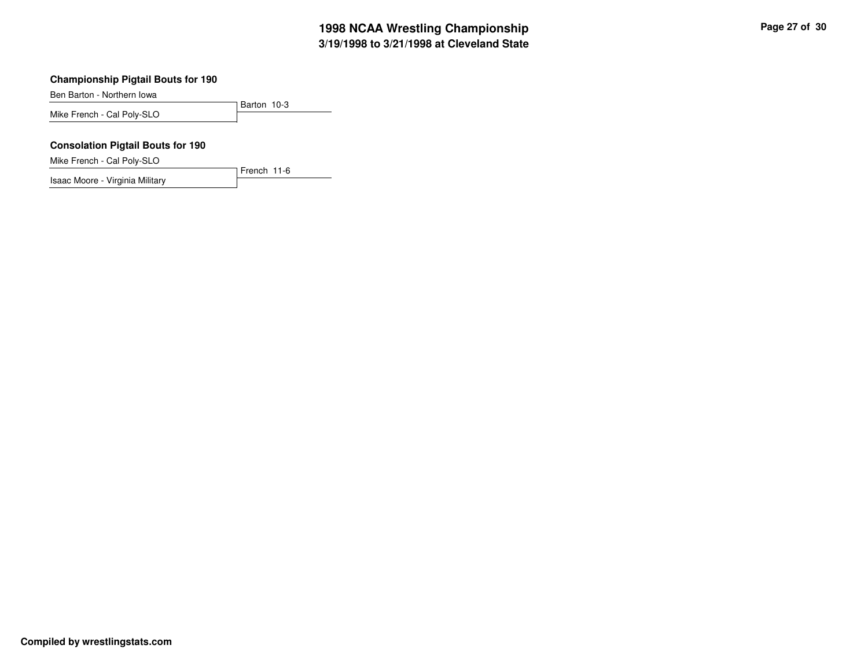Ben Barton - Northern Iowa

Barton 10-3 Mike French - Cal Poly-SLO

French 11-6

#### **Consolation Pigtail Bouts for 190**

Mike French - Cal Poly-SLO

Isaac Moore - Virginia Military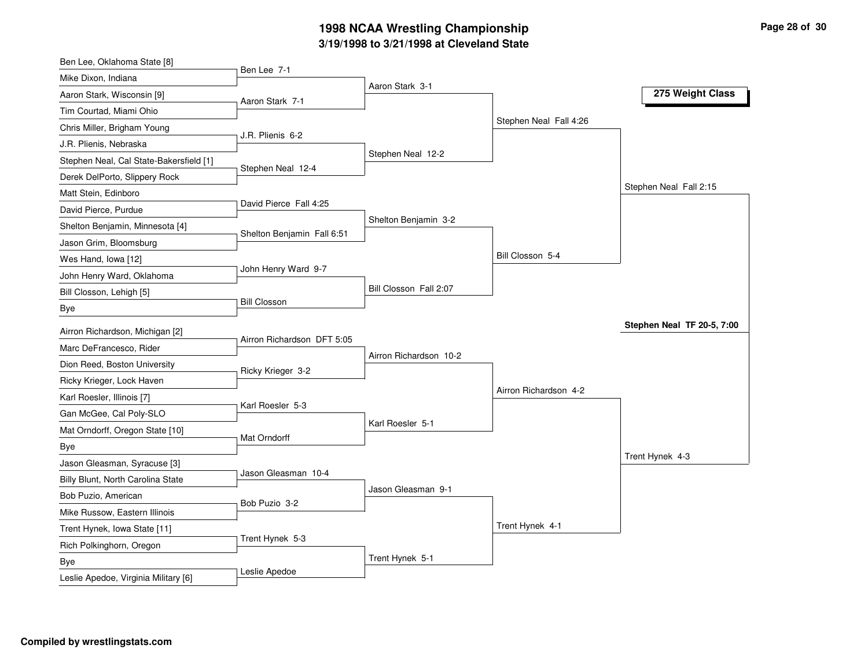## **3/19/1998 to 3/21/1998 at Cleveland State 1998 NCAA Wrestling Championship Page <sup>28</sup> of <sup>30</sup>**

| Ben Lee, Oklahoma State [8]             |                            |                        |                        |                            |
|-----------------------------------------|----------------------------|------------------------|------------------------|----------------------------|
| Mike Dixon, Indiana                     | Ben Lee 7-1                |                        |                        |                            |
| Aaron Stark, Wisconsin [9]              | Aaron Stark 7-1            | Aaron Stark 3-1        |                        | 275 Weight Class           |
| Tim Courtad, Miami Ohio                 |                            |                        |                        |                            |
| Chris Miller, Brigham Young             |                            |                        | Stephen Neal Fall 4:26 |                            |
| J.R. Plienis, Nebraska                  | J.R. Plienis 6-2           |                        |                        |                            |
| Stephen Neal, Cal State-Bakersfield [1] |                            | Stephen Neal 12-2      |                        |                            |
| Derek DelPorto, Slippery Rock           | Stephen Neal 12-4          |                        |                        |                            |
| Matt Stein, Edinboro                    |                            |                        |                        | Stephen Neal Fall 2:15     |
| David Pierce, Purdue                    | David Pierce Fall 4:25     |                        |                        |                            |
| Shelton Benjamin, Minnesota [4]         | Shelton Benjamin Fall 6:51 | Shelton Benjamin 3-2   |                        |                            |
| Jason Grim, Bloomsburg                  |                            |                        |                        |                            |
| Wes Hand, Iowa [12]                     |                            |                        | Bill Closson 5-4       |                            |
| John Henry Ward, Oklahoma               | John Henry Ward 9-7        |                        |                        |                            |
| Bill Closson, Lehigh [5]                |                            | Bill Closson Fall 2:07 |                        |                            |
| Bye                                     | <b>Bill Closson</b>        |                        |                        |                            |
| Airron Richardson, Michigan [2]         |                            |                        |                        | Stephen Neal TF 20-5, 7:00 |
| Marc DeFrancesco, Rider                 | Airron Richardson DFT 5:05 |                        |                        |                            |
| Dion Reed, Boston University            |                            | Airron Richardson 10-2 |                        |                            |
| Ricky Krieger, Lock Haven               | Ricky Krieger 3-2          |                        |                        |                            |
| Karl Roesler, Illinois [7]              |                            |                        | Airron Richardson 4-2  |                            |
| Gan McGee, Cal Poly-SLO                 | Karl Roesler 5-3           |                        |                        |                            |
| Mat Orndorff, Oregon State [10]         |                            | Karl Roesler 5-1       |                        |                            |
| Bye                                     | Mat Orndorff               |                        |                        |                            |
| Jason Gleasman, Syracuse [3]            |                            |                        |                        | Trent Hynek 4-3            |
| Billy Blunt, North Carolina State       | Jason Gleasman 10-4        |                        |                        |                            |
| Bob Puzio, American                     |                            | Jason Gleasman 9-1     |                        |                            |
| Mike Russow, Eastern Illinois           | Bob Puzio 3-2              |                        |                        |                            |
| Trent Hynek, Iowa State [11]            |                            |                        | Trent Hynek 4-1        |                            |
| Rich Polkinghorn, Oregon                | Trent Hynek 5-3            |                        |                        |                            |
| Bye                                     |                            | Trent Hynek 5-1        |                        |                            |
| Leslie Apedoe, Virginia Military [6]    | Leslie Apedoe              |                        |                        |                            |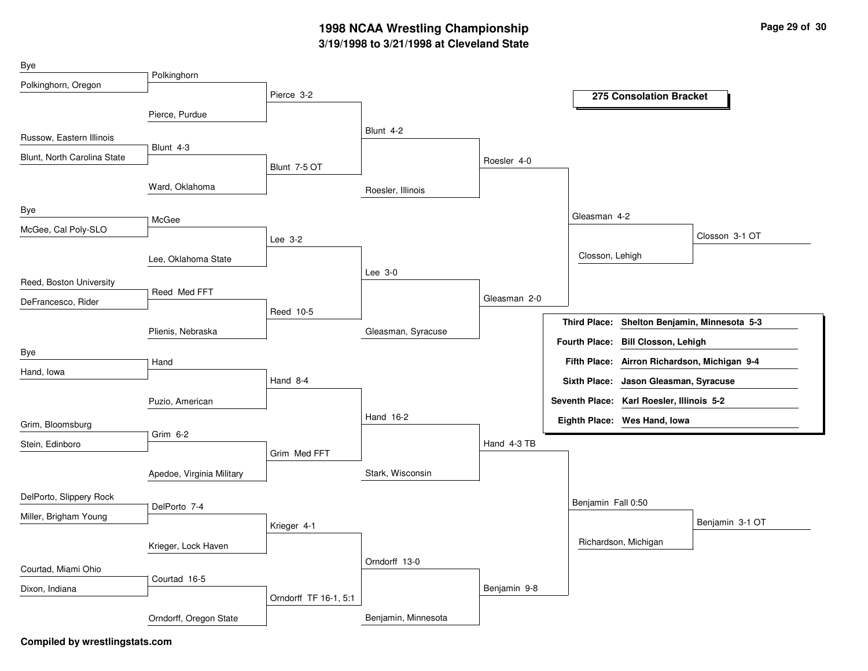## **3/19/1998 to 3/21/1998 at Cleveland State 1998 NCAA Wrestling Championship Page <sup>29</sup> of <sup>30</sup>**

| Bye                         |                           |                       |                     |              |                     |                                              |                                 |
|-----------------------------|---------------------------|-----------------------|---------------------|--------------|---------------------|----------------------------------------------|---------------------------------|
| Polkinghorn, Oregon         | Polkinghorn               |                       |                     |              |                     |                                              |                                 |
|                             |                           | Pierce 3-2            |                     |              |                     | 275 Consolation Bracket                      |                                 |
|                             | Pierce, Purdue            |                       | Blunt 4-2           |              |                     |                                              |                                 |
| Russow, Eastern Illinois    | Blunt 4-3                 |                       |                     |              |                     |                                              |                                 |
| Blunt, North Carolina State |                           | Blunt 7-5 OT          |                     | Roesler 4-0  |                     |                                              |                                 |
|                             | Ward, Oklahoma            |                       | Roesler, Illinois   |              |                     |                                              |                                 |
| Bye                         |                           |                       |                     |              |                     |                                              |                                 |
| McGee, Cal Poly-SLO         | McGee                     |                       |                     |              |                     | Gleasman 4-2                                 |                                 |
|                             |                           | Lee 3-2               |                     |              |                     |                                              | Closson 3-1 OT                  |
|                             | Lee, Oklahoma State       |                       |                     |              |                     | Closson, Lehigh                              |                                 |
| Reed, Boston University     |                           |                       | Lee 3-0             |              |                     |                                              |                                 |
| DeFrancesco, Rider          | Reed Med FFT              |                       |                     | Gleasman 2-0 |                     |                                              |                                 |
|                             |                           | Reed 10-5             |                     |              | <b>Third Place:</b> |                                              | Shelton Benjamin, Minnesota 5-3 |
|                             | Plienis, Nebraska         |                       | Gleasman, Syracuse  |              |                     |                                              |                                 |
| Bye                         |                           |                       |                     |              |                     | Fourth Place: Bill Closson, Lehigh           |                                 |
| Hand, lowa                  | Hand                      |                       |                     |              |                     | Fifth Place: Airron Richardson, Michigan 9-4 |                                 |
|                             |                           | Hand 8-4              |                     |              |                     | Sixth Place: Jason Gleasman, Syracuse        |                                 |
|                             | Puzio, American           |                       |                     |              |                     | Seventh Place: Karl Roesler, Illinois 5-2    |                                 |
| Grim, Bloomsburg            |                           |                       | Hand 16-2           |              |                     | Eighth Place: Wes Hand, Iowa                 |                                 |
| Stein, Edinboro             | Grim 6-2                  |                       |                     | Hand 4-3 TB  |                     |                                              |                                 |
|                             |                           | Grim Med FFT          |                     |              |                     |                                              |                                 |
|                             | Apedoe, Virginia Military |                       | Stark, Wisconsin    |              |                     |                                              |                                 |
| DelPorto, Slippery Rock     |                           |                       |                     |              |                     | Benjamin Fall 0:50                           |                                 |
| Miller, Brigham Young       | DelPorto 7-4              |                       |                     |              |                     |                                              |                                 |
|                             |                           | Krieger 4-1           |                     |              |                     |                                              | Benjamin 3-1 OT                 |
|                             | Krieger, Lock Haven       |                       |                     |              |                     | Richardson, Michigan                         |                                 |
| Courtad, Miami Ohio         |                           |                       | Orndorff 13-0       |              |                     |                                              |                                 |
| Dixon, Indiana              | Courtad 16-5              |                       |                     | Benjamin 9-8 |                     |                                              |                                 |
|                             |                           | Orndorff TF 16-1, 5:1 |                     |              |                     |                                              |                                 |
|                             | Orndorff, Oregon State    |                       | Benjamin, Minnesota |              |                     |                                              |                                 |